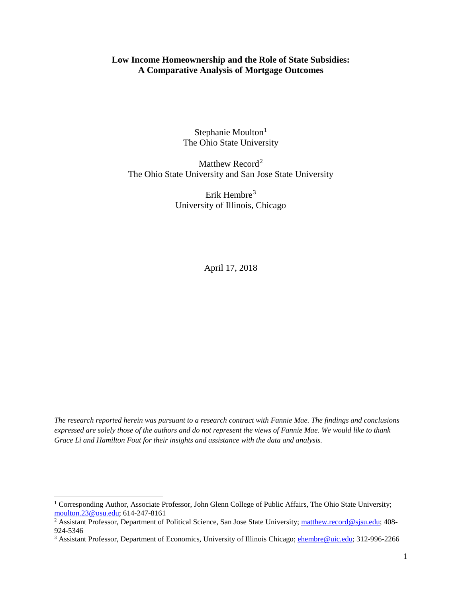# **Low Income Homeownership and the Role of State Subsidies: A Comparative Analysis of Mortgage Outcomes**

Stephanie Moulton<sup>[1](#page-0-0)</sup> The Ohio State University

Matthew Record<sup>[2](#page-0-1)</sup> The Ohio State University and San Jose State University

> Erik Hembre<sup>[3](#page-0-2)</sup> University of Illinois, Chicago

> > April 17, 2018

*The research reported herein was pursuant to a research contract with Fannie Mae. The findings and conclusions expressed are solely those of the authors and do not represent the views of Fannie Mae. We would like to thank Grace Li and Hamilton Fout for their insights and assistance with the data and analysis.* 

<span id="page-0-0"></span><sup>&</sup>lt;sup>1</sup> Corresponding Author, Associate Professor, John Glenn College of Public Affairs, The Ohio State University; [moulton.23@osu.edu;](mailto:moulton.23@osu.edu) 614-247-8161<br><sup>2</sup> Assistant Professor, Department of Political Science, San Jose State University; [matthew.record@sjsu.edu;](mailto:matthew.record@sjsu.edu) 408-

<span id="page-0-1"></span><sup>924-5346</sup>

<span id="page-0-2"></span><sup>&</sup>lt;sup>3</sup> Assistant Professor, Department of Economics, University of Illinois Chicago; *ehembre@uic.edu;* 312-996-2266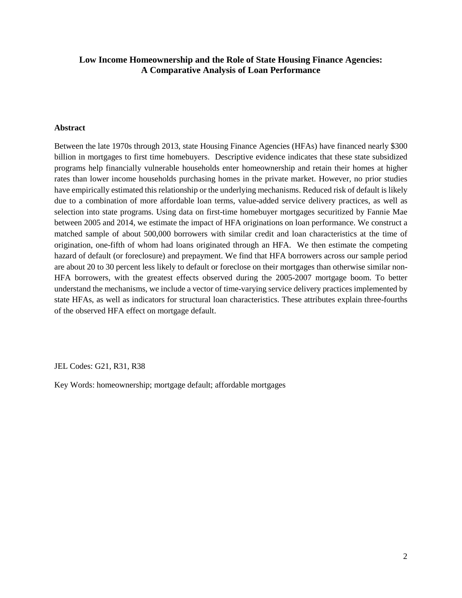# **Low Income Homeownership and the Role of State Housing Finance Agencies: A Comparative Analysis of Loan Performance**

### **Abstract**

Between the late 1970s through 2013, state Housing Finance Agencies (HFAs) have financed nearly \$300 billion in mortgages to first time homebuyers. Descriptive evidence indicates that these state subsidized programs help financially vulnerable households enter homeownership and retain their homes at higher rates than lower income households purchasing homes in the private market. However, no prior studies have empirically estimated this relationship or the underlying mechanisms. Reduced risk of default is likely due to a combination of more affordable loan terms, value-added service delivery practices, as well as selection into state programs. Using data on first-time homebuyer mortgages securitized by Fannie Mae between 2005 and 2014, we estimate the impact of HFA originations on loan performance. We construct a matched sample of about 500,000 borrowers with similar credit and loan characteristics at the time of origination, one-fifth of whom had loans originated through an HFA. We then estimate the competing hazard of default (or foreclosure) and prepayment. We find that HFA borrowers across our sample period are about 20 to 30 percent less likely to default or foreclose on their mortgages than otherwise similar non-HFA borrowers, with the greatest effects observed during the 2005-2007 mortgage boom. To better understand the mechanisms, we include a vector of time-varying service delivery practices implemented by state HFAs, as well as indicators for structural loan characteristics. These attributes explain three-fourths of the observed HFA effect on mortgage default.

JEL Codes: G21, R31, R38

Key Words: homeownership; mortgage default; affordable mortgages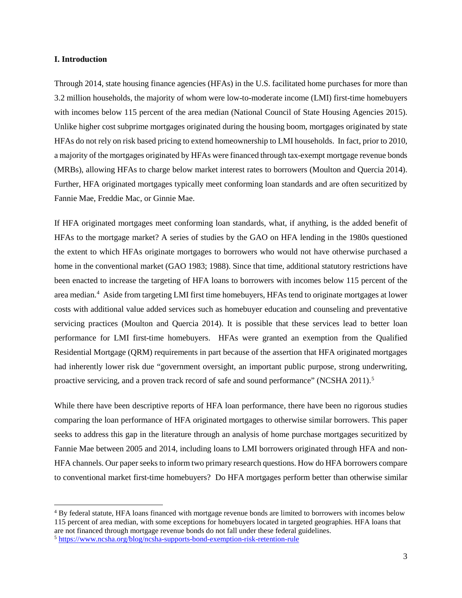### **I. Introduction**

Through 2014, state housing finance agencies (HFAs) in the U.S. facilitated home purchases for more than 3.2 million households, the majority of whom were low-to-moderate income (LMI) first-time homebuyers with incomes below 115 percent of the area median (National Council of State Housing Agencies 2015). Unlike higher cost subprime mortgages originated during the housing boom, mortgages originated by state HFAs do not rely on risk based pricing to extend homeownership to LMI households. In fact, prior to 2010, a majority of the mortgages originated by HFAs were financed through tax-exempt mortgage revenue bonds (MRBs), allowing HFAs to charge below market interest rates to borrowers (Moulton and Quercia 2014). Further, HFA originated mortgages typically meet conforming loan standards and are often securitized by Fannie Mae, Freddie Mac, or Ginnie Mae.

If HFA originated mortgages meet conforming loan standards, what, if anything, is the added benefit of HFAs to the mortgage market? A series of studies by the GAO on HFA lending in the 1980s questioned the extent to which HFAs originate mortgages to borrowers who would not have otherwise purchased a home in the conventional market (GAO 1983; 1988). Since that time, additional statutory restrictions have been enacted to increase the targeting of HFA loans to borrowers with incomes below 115 percent of the area median[.4](#page-2-0) Aside from targeting LMI first time homebuyers, HFAs tend to originate mortgages at lower costs with additional value added services such as homebuyer education and counseling and preventative servicing practices (Moulton and Quercia 2014). It is possible that these services lead to better loan performance for LMI first-time homebuyers. HFAs were granted an exemption from the Qualified Residential Mortgage (QRM) requirements in part because of the assertion that HFA originated mortgages had inherently lower risk due "government oversight, an important public purpose, strong underwriting, proactive servicing, and a proven track record of safe and sound performance" (NCSHA 2011).<sup>[5](#page-2-1)</sup>

While there have been descriptive reports of HFA loan performance, there have been no rigorous studies comparing the loan performance of HFA originated mortgages to otherwise similar borrowers. This paper seeks to address this gap in the literature through an analysis of home purchase mortgages securitized by Fannie Mae between 2005 and 2014, including loans to LMI borrowers originated through HFA and non-HFA channels. Our paper seeks to inform two primary research questions. How do HFA borrowers compare to conventional market first-time homebuyers? Do HFA mortgages perform better than otherwise similar

<span id="page-2-0"></span> <sup>4</sup> By federal statute, HFA loans financed with mortgage revenue bonds are limited to borrowers with incomes below 115 percent of area median, with some exceptions for homebuyers located in targeted geographies. HFA loans that are not financed through mortgage revenue bonds do not fall under these federal guidelines.

<span id="page-2-1"></span><sup>5</sup> <https://www.ncsha.org/blog/ncsha-supports-bond-exemption-risk-retention-rule>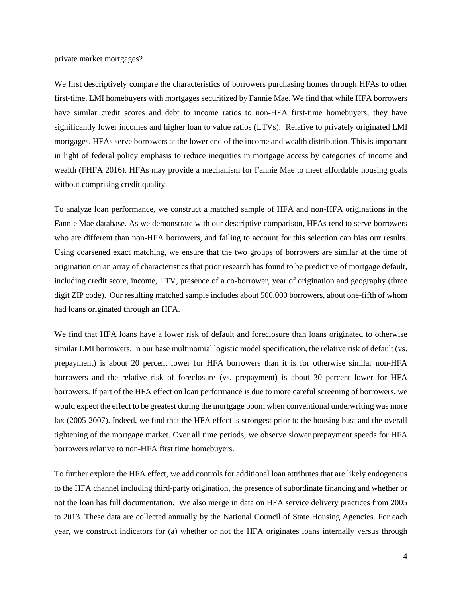private market mortgages?

We first descriptively compare the characteristics of borrowers purchasing homes through HFAs to other first-time, LMI homebuyers with mortgages securitized by Fannie Mae. We find that while HFA borrowers have similar credit scores and debt to income ratios to non-HFA first-time homebuyers, they have significantly lower incomes and higher loan to value ratios (LTVs). Relative to privately originated LMI mortgages, HFAs serve borrowers at the lower end of the income and wealth distribution. This is important in light of federal policy emphasis to reduce inequities in mortgage access by categories of income and wealth (FHFA 2016). HFAs may provide a mechanism for Fannie Mae to meet affordable housing goals without comprising credit quality.

To analyze loan performance, we construct a matched sample of HFA and non-HFA originations in the Fannie Mae database. As we demonstrate with our descriptive comparison, HFAs tend to serve borrowers who are different than non-HFA borrowers, and failing to account for this selection can bias our results. Using coarsened exact matching, we ensure that the two groups of borrowers are similar at the time of origination on an array of characteristics that prior research has found to be predictive of mortgage default, including credit score, income, LTV, presence of a co-borrower, year of origination and geography (three digit ZIP code). Our resulting matched sample includes about 500,000 borrowers, about one-fifth of whom had loans originated through an HFA.

We find that HFA loans have a lower risk of default and foreclosure than loans originated to otherwise similar LMI borrowers. In our base multinomial logistic model specification, the relative risk of default (vs. prepayment) is about 20 percent lower for HFA borrowers than it is for otherwise similar non-HFA borrowers and the relative risk of foreclosure (vs. prepayment) is about 30 percent lower for HFA borrowers. If part of the HFA effect on loan performance is due to more careful screening of borrowers, we would expect the effect to be greatest during the mortgage boom when conventional underwriting was more lax (2005-2007). Indeed, we find that the HFA effect is strongest prior to the housing bust and the overall tightening of the mortgage market. Over all time periods, we observe slower prepayment speeds for HFA borrowers relative to non-HFA first time homebuyers.

To further explore the HFA effect, we add controls for additional loan attributes that are likely endogenous to the HFA channel including third-party origination, the presence of subordinate financing and whether or not the loan has full documentation. We also merge in data on HFA service delivery practices from 2005 to 2013. These data are collected annually by the National Council of State Housing Agencies. For each year, we construct indicators for (a) whether or not the HFA originates loans internally versus through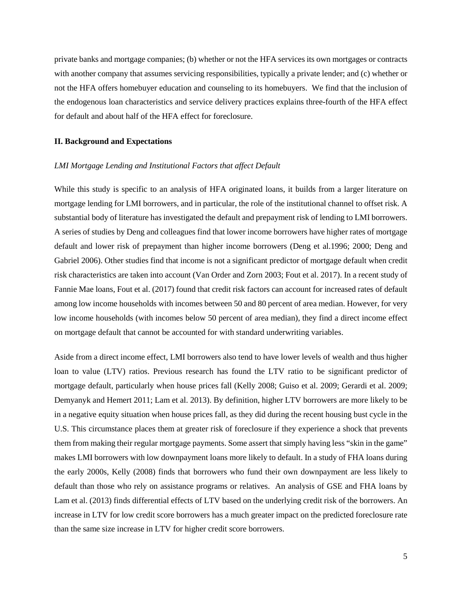private banks and mortgage companies; (b) whether or not the HFA services its own mortgages or contracts with another company that assumes servicing responsibilities, typically a private lender; and (c) whether or not the HFA offers homebuyer education and counseling to its homebuyers. We find that the inclusion of the endogenous loan characteristics and service delivery practices explains three-fourth of the HFA effect for default and about half of the HFA effect for foreclosure.

### **II. Background and Expectations**

### *LMI Mortgage Lending and Institutional Factors that affect Default*

While this study is specific to an analysis of HFA originated loans, it builds from a larger literature on mortgage lending for LMI borrowers, and in particular, the role of the institutional channel to offset risk. A substantial body of literature has investigated the default and prepayment risk of lending to LMI borrowers. A series of studies by Deng and colleagues find that lower income borrowers have higher rates of mortgage default and lower risk of prepayment than higher income borrowers (Deng et al.1996; 2000; Deng and Gabriel 2006). Other studies find that income is not a significant predictor of mortgage default when credit risk characteristics are taken into account (Van Order and Zorn 2003; Fout et al. 2017). In a recent study of Fannie Mae loans, Fout et al. (2017) found that credit risk factors can account for increased rates of default among low income households with incomes between 50 and 80 percent of area median. However, for very low income households (with incomes below 50 percent of area median), they find a direct income effect on mortgage default that cannot be accounted for with standard underwriting variables.

Aside from a direct income effect, LMI borrowers also tend to have lower levels of wealth and thus higher loan to value (LTV) ratios. Previous research has found the LTV ratio to be significant predictor of mortgage default, particularly when house prices fall (Kelly 2008; Guiso et al. 2009; Gerardi et al. 2009; Demyanyk and Hemert 2011; Lam et al. 2013). By definition, higher LTV borrowers are more likely to be in a negative equity situation when house prices fall, as they did during the recent housing bust cycle in the U.S. This circumstance places them at greater risk of foreclosure if they experience a shock that prevents them from making their regular mortgage payments. Some assert that simply having less "skin in the game" makes LMI borrowers with low downpayment loans more likely to default. In a study of FHA loans during the early 2000s, Kelly (2008) finds that borrowers who fund their own downpayment are less likely to default than those who rely on assistance programs or relatives. An analysis of GSE and FHA loans by Lam et al. (2013) finds differential effects of LTV based on the underlying credit risk of the borrowers. An increase in LTV for low credit score borrowers has a much greater impact on the predicted foreclosure rate than the same size increase in LTV for higher credit score borrowers.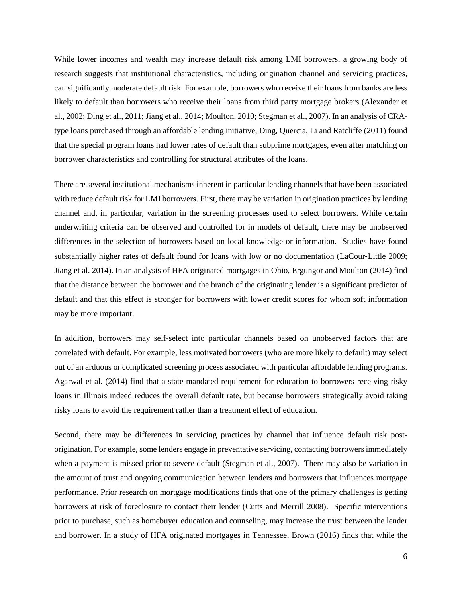While lower incomes and wealth may increase default risk among LMI borrowers, a growing body of research suggests that institutional characteristics, including origination channel and servicing practices, can significantly moderate default risk. For example, borrowers who receive their loans from banks are less likely to default than borrowers who receive their loans from third party mortgage brokers (Alexander et al., 2002; Ding et al., 2011; Jiang et al., 2014; Moulton, 2010; Stegman et al., 2007). In an analysis of CRAtype loans purchased through an affordable lending initiative, Ding, Quercia, Li and Ratcliffe (2011) found that the special program loans had lower rates of default than subprime mortgages, even after matching on borrower characteristics and controlling for structural attributes of the loans.

There are several institutional mechanisms inherent in particular lending channels that have been associated with reduce default risk for LMI borrowers. First, there may be variation in origination practices by lending channel and, in particular, variation in the screening processes used to select borrowers. While certain underwriting criteria can be observed and controlled for in models of default, there may be unobserved differences in the selection of borrowers based on local knowledge or information. Studies have found substantially higher rates of default found for loans with low or no documentation (LaCour-Little 2009; Jiang et al. 2014). In an analysis of HFA originated mortgages in Ohio, Ergungor and Moulton (2014) find that the distance between the borrower and the branch of the originating lender is a significant predictor of default and that this effect is stronger for borrowers with lower credit scores for whom soft information may be more important.

In addition, borrowers may self-select into particular channels based on unobserved factors that are correlated with default. For example, less motivated borrowers (who are more likely to default) may select out of an arduous or complicated screening process associated with particular affordable lending programs. Agarwal et al. (2014) find that a state mandated requirement for education to borrowers receiving risky loans in Illinois indeed reduces the overall default rate, but because borrowers strategically avoid taking risky loans to avoid the requirement rather than a treatment effect of education.

Second, there may be differences in servicing practices by channel that influence default risk postorigination. For example, some lenders engage in preventative servicing, contacting borrowers immediately when a payment is missed prior to severe default (Stegman et al., 2007). There may also be variation in the amount of trust and ongoing communication between lenders and borrowers that influences mortgage performance. Prior research on mortgage modifications finds that one of the primary challenges is getting borrowers at risk of foreclosure to contact their lender (Cutts and Merrill 2008). Specific interventions prior to purchase, such as homebuyer education and counseling, may increase the trust between the lender and borrower. In a study of HFA originated mortgages in Tennessee, Brown (2016) finds that while the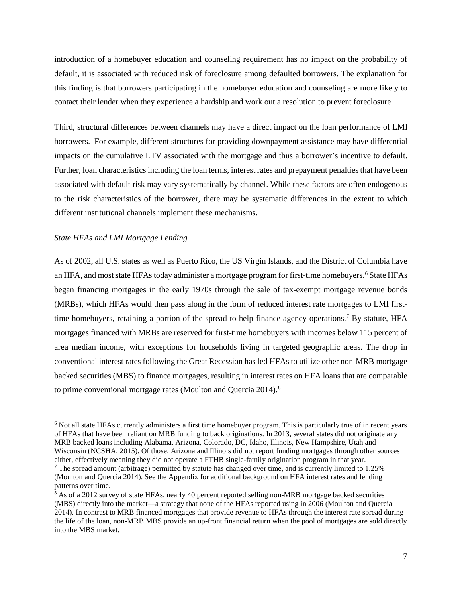introduction of a homebuyer education and counseling requirement has no impact on the probability of default, it is associated with reduced risk of foreclosure among defaulted borrowers. The explanation for this finding is that borrowers participating in the homebuyer education and counseling are more likely to contact their lender when they experience a hardship and work out a resolution to prevent foreclosure.

Third, structural differences between channels may have a direct impact on the loan performance of LMI borrowers. For example, different structures for providing downpayment assistance may have differential impacts on the cumulative LTV associated with the mortgage and thus a borrower's incentive to default. Further, loan characteristics including the loan terms, interest rates and prepayment penalties that have been associated with default risk may vary systematically by channel. While these factors are often endogenous to the risk characteristics of the borrower, there may be systematic differences in the extent to which different institutional channels implement these mechanisms.

### *State HFAs and LMI Mortgage Lending*

As of 2002, all U.S. states as well as Puerto Rico, the US Virgin Islands, and the District of Columbia have an HFA, and most state HFAs today administer a mortgage program for first-time homebuyers.<sup>[6](#page-6-0)</sup> State HFAs began financing mortgages in the early 1970s through the sale of tax-exempt mortgage revenue bonds (MRBs), which HFAs would then pass along in the form of reduced interest rate mortgages to LMI first-time homebuyers, retaining a portion of the spread to help finance agency operations.<sup>[7](#page-6-1)</sup> By statute, HFA mortgages financed with MRBs are reserved for first-time homebuyers with incomes below 115 percent of area median income, with exceptions for households living in targeted geographic areas. The drop in conventional interest rates following the Great Recession has led HFAs to utilize other non-MRB mortgage backed securities (MBS) to finance mortgages, resulting in interest rates on HFA loans that are comparable to prime conventional mortgage rates (Moulton and Quercia 2014).<sup>[8](#page-6-2)</sup>

<span id="page-6-0"></span><sup>&</sup>lt;sup>6</sup> Not all state HFAs currently administers a first time homebuyer program. This is particularly true of in recent years of HFAs that have been reliant on MRB funding to back originations. In 2013, several states did not originate any MRB backed loans including Alabama, Arizona, Colorado, DC, Idaho, Illinois, New Hampshire, Utah and Wisconsin (NCSHA, 2015). Of those, Arizona and Illinois did not report funding mortgages through other sources either, effectively meaning they did not operate a FTHB single-family origination program in that year.

<span id="page-6-1"></span><sup>7</sup> The spread amount (arbitrage) permitted by statute has changed over time, and is currently limited to 1.25% (Moulton and Quercia 2014). See the Appendix for additional background on HFA interest rates and lending patterns over time.

<span id="page-6-2"></span><sup>&</sup>lt;sup>8</sup> As of a 2012 survey of state HFAs, nearly 40 percent reported selling non-MRB mortgage backed securities (MBS) directly into the market—a strategy that none of the HFAs reported using in 2006 (Moulton and Quercia 2014). In contrast to MRB financed mortgages that provide revenue to HFAs through the interest rate spread during the life of the loan, non-MRB MBS provide an up-front financial return when the pool of mortgages are sold directly into the MBS market.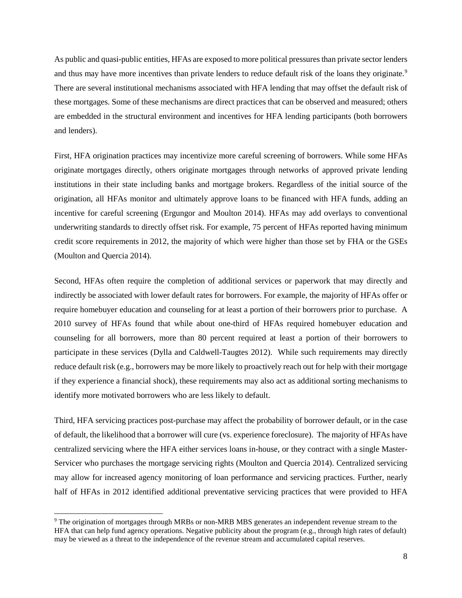As public and quasi-public entities, HFAs are exposed to more political pressures than private sector lenders and thus may have more incentives than private lenders to reduce default risk of the loans they originate.<sup>[9](#page-7-0)</sup> There are several institutional mechanisms associated with HFA lending that may offset the default risk of these mortgages. Some of these mechanisms are direct practices that can be observed and measured; others are embedded in the structural environment and incentives for HFA lending participants (both borrowers and lenders).

First, HFA origination practices may incentivize more careful screening of borrowers. While some HFAs originate mortgages directly, others originate mortgages through networks of approved private lending institutions in their state including banks and mortgage brokers. Regardless of the initial source of the origination, all HFAs monitor and ultimately approve loans to be financed with HFA funds, adding an incentive for careful screening (Ergungor and Moulton 2014). HFAs may add overlays to conventional underwriting standards to directly offset risk. For example, 75 percent of HFAs reported having minimum credit score requirements in 2012, the majority of which were higher than those set by FHA or the GSEs (Moulton and Quercia 2014).

Second, HFAs often require the completion of additional services or paperwork that may directly and indirectly be associated with lower default rates for borrowers. For example, the majority of HFAs offer or require homebuyer education and counseling for at least a portion of their borrowers prior to purchase. A 2010 survey of HFAs found that while about one-third of HFAs required homebuyer education and counseling for all borrowers, more than 80 percent required at least a portion of their borrowers to participate in these services (Dylla and Caldwell-Taugtes 2012). While such requirements may directly reduce default risk (e.g., borrowers may be more likely to proactively reach out for help with their mortgage if they experience a financial shock), these requirements may also act as additional sorting mechanisms to identify more motivated borrowers who are less likely to default.

Third, HFA servicing practices post-purchase may affect the probability of borrower default, or in the case of default, the likelihood that a borrower will cure (vs. experience foreclosure). The majority of HFAs have centralized servicing where the HFA either services loans in-house, or they contract with a single Master-Servicer who purchases the mortgage servicing rights (Moulton and Quercia 2014). Centralized servicing may allow for increased agency monitoring of loan performance and servicing practices. Further, nearly half of HFAs in 2012 identified additional preventative servicing practices that were provided to HFA

<span id="page-7-0"></span> <sup>9</sup> The origination of mortgages through MRBs or non-MRB MBS generates an independent revenue stream to the HFA that can help fund agency operations. Negative publicity about the program (e.g., through high rates of default) may be viewed as a threat to the independence of the revenue stream and accumulated capital reserves.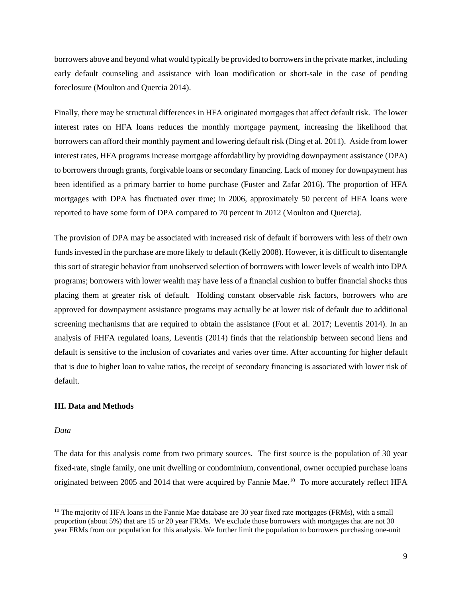borrowers above and beyond what would typically be provided to borrowers in the private market, including early default counseling and assistance with loan modification or short-sale in the case of pending foreclosure (Moulton and Quercia 2014).

Finally, there may be structural differences in HFA originated mortgages that affect default risk. The lower interest rates on HFA loans reduces the monthly mortgage payment, increasing the likelihood that borrowers can afford their monthly payment and lowering default risk (Ding et al. 2011). Aside from lower interest rates, HFA programs increase mortgage affordability by providing downpayment assistance (DPA) to borrowers through grants, forgivable loans or secondary financing. Lack of money for downpayment has been identified as a primary barrier to home purchase (Fuster and Zafar 2016). The proportion of HFA mortgages with DPA has fluctuated over time; in 2006, approximately 50 percent of HFA loans were reported to have some form of DPA compared to 70 percent in 2012 (Moulton and Quercia).

The provision of DPA may be associated with increased risk of default if borrowers with less of their own funds invested in the purchase are more likely to default (Kelly 2008). However, it is difficult to disentangle this sort of strategic behavior from unobserved selection of borrowers with lower levels of wealth into DPA programs; borrowers with lower wealth may have less of a financial cushion to buffer financial shocks thus placing them at greater risk of default. Holding constant observable risk factors, borrowers who are approved for downpayment assistance programs may actually be at lower risk of default due to additional screening mechanisms that are required to obtain the assistance (Fout et al. 2017; Leventis 2014). In an analysis of FHFA regulated loans, Leventis (2014) finds that the relationship between second liens and default is sensitive to the inclusion of covariates and varies over time. After accounting for higher default that is due to higher loan to value ratios, the receipt of secondary financing is associated with lower risk of default.

### **III. Data and Methods**

#### *Data*

The data for this analysis come from two primary sources. The first source is the population of 30 year fixed-rate, single family, one unit dwelling or condominium, conventional, owner occupied purchase loans originated between 2005 and 2014 that were acquired by Fannie Mae. [10](#page-8-0) To more accurately reflect HFA

<span id="page-8-0"></span> $10$  The majority of HFA loans in the Fannie Mae database are 30 year fixed rate mortgages (FRMs), with a small proportion (about 5%) that are 15 or 20 year FRMs. We exclude those borrowers with mortgages that are not 30 year FRMs from our population for this analysis. We further limit the population to borrowers purchasing one-unit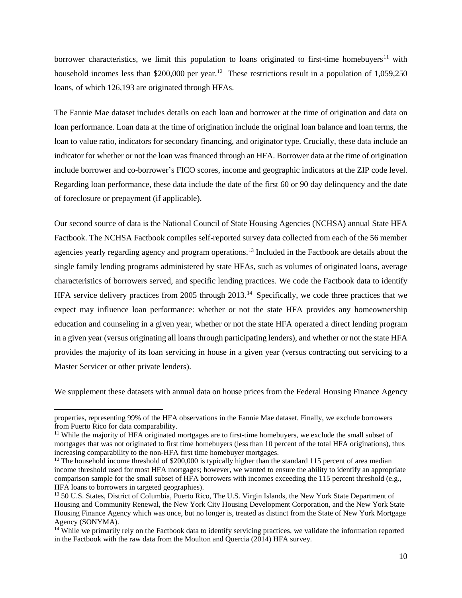borrower characteristics, we limit this population to loans originated to first-time homebuyers<sup>[11](#page-9-0)</sup> with household incomes less than \$200,000 per year.<sup>[12](#page-9-1)</sup> These restrictions result in a population of 1,059,250 loans, of which 126,193 are originated through HFAs.

The Fannie Mae dataset includes details on each loan and borrower at the time of origination and data on loan performance. Loan data at the time of origination include the original loan balance and loan terms, the loan to value ratio, indicators for secondary financing, and originator type. Crucially, these data include an indicator for whether or not the loan was financed through an HFA. Borrower data at the time of origination include borrower and co-borrower's FICO scores, income and geographic indicators at the ZIP code level. Regarding loan performance, these data include the date of the first 60 or 90 day delinquency and the date of foreclosure or prepayment (if applicable).

Our second source of data is the National Council of State Housing Agencies (NCHSA) annual State HFA Factbook. The NCHSA Factbook compiles self-reported survey data collected from each of the 56 member agencies yearly regarding agency and program operations. [13](#page-9-2) Included in the Factbook are details about the single family lending programs administered by state HFAs, such as volumes of originated loans, average characteristics of borrowers served, and specific lending practices. We code the Factbook data to identify HFA service delivery practices from 2005 through 2013.<sup>[14](#page-9-3)</sup> Specifically, we code three practices that we expect may influence loan performance: whether or not the state HFA provides any homeownership education and counseling in a given year, whether or not the state HFA operated a direct lending program in a given year (versus originating all loans through participating lenders), and whether or not the state HFA provides the majority of its loan servicing in house in a given year (versus contracting out servicing to a Master Servicer or other private lenders).

We supplement these datasets with annual data on house prices from the Federal Housing Finance Agency

 $\overline{a}$ 

properties, representing 99% of the HFA observations in the Fannie Mae dataset. Finally, we exclude borrowers from Puerto Rico for data comparability.

<span id="page-9-0"></span><sup>&</sup>lt;sup>11</sup> While the majority of HFA originated mortgages are to first-time homebuyers, we exclude the small subset of mortgages that was not originated to first time homebuyers (less than 10 percent of the total HFA originations), thus increasing comparability to the non-HFA first time homebuyer mortgages.

<span id="page-9-1"></span> $12$  The household income threshold of \$200,000 is typically higher than the standard 115 percent of area median income threshold used for most HFA mortgages; however, we wanted to ensure the ability to identify an appropriate comparison sample for the small subset of HFA borrowers with incomes exceeding the 115 percent threshold (e.g., HFA loans to borrowers in targeted geographies).

<span id="page-9-2"></span><sup>&</sup>lt;sup>13</sup> 50 U.S. States, District of Columbia, Puerto Rico, The U.S. Virgin Islands, the New York State Department of Housing and Community Renewal, the New York City Housing Development Corporation, and the New York State Housing Finance Agency which was once, but no longer is, treated as distinct from the State of New York Mortgage Agency (SONYMA).

<span id="page-9-3"></span><sup>&</sup>lt;sup>14</sup> While we primarily rely on the Factbook data to identify servicing practices, we validate the information reported in the Factbook with the raw data from the Moulton and Quercia (2014) HFA survey.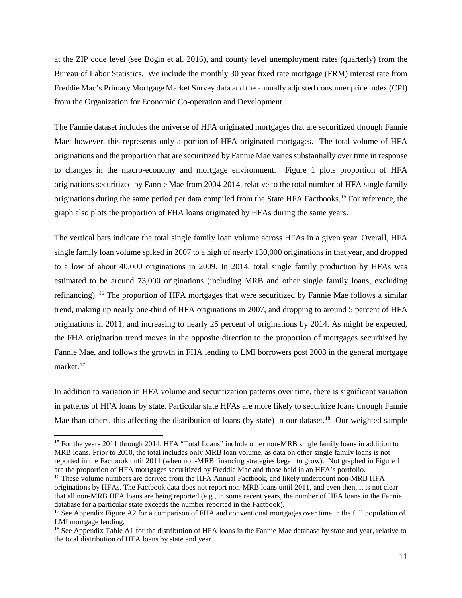at the ZIP code level (see Bogin et al. 2016), and county level unemployment rates (quarterly) from the Bureau of Labor Statistics. We include the monthly 30 year fixed rate mortgage (FRM) interest rate from Freddie Mac's Primary Mortgage Market Survey data and the annually adjusted consumer price index (CPI) from the Organization for Economic Co-operation and Development.

The Fannie dataset includes the universe of HFA originated mortgages that are securitized through Fannie Mae; however, this represents only a portion of HFA originated mortgages. The total volume of HFA originations and the proportion that are securitized by Fannie Mae varies substantially over time in response to changes in the macro-economy and mortgage environment. Figure 1 plots proportion of HFA originations securitized by Fannie Mae from 2004-2014, relative to the total number of HFA single family originations during the same period per data compiled from the State HFA Factbooks.[15](#page-10-0) For reference, the graph also plots the proportion of FHA loans originated by HFAs during the same years.

The vertical bars indicate the total single family loan volume across HFAs in a given year. Overall, HFA single family loan volume spiked in 2007 to a high of nearly 130,000 originations in that year, and dropped to a low of about 40,000 originations in 2009. In 2014, total single family production by HFAs was estimated to be around 73,000 originations (including MRB and other single family loans, excluding refinancing). [16](#page-10-1) The proportion of HFA mortgages that were securitized by Fannie Mae follows a similar trend, making up nearly one-third of HFA originations in 2007, and dropping to around 5 percent of HFA originations in 2011, and increasing to nearly 25 percent of originations by 2014. As might be expected, the FHA origination trend moves in the opposite direction to the proportion of mortgages securitized by Fannie Mae, and follows the growth in FHA lending to LMI borrowers post 2008 in the general mortgage market. [17](#page-10-2)

In addition to variation in HFA volume and securitization patterns over time, there is significant variation in patterns of HFA loans by state. Particular state HFAs are more likely to securitize loans through Fannie Mae than others, this affecting the distribution of loans (by state) in our dataset.<sup>[18](#page-10-3)</sup> Our weighted sample

<span id="page-10-0"></span><sup>&</sup>lt;sup>15</sup> For the years 2011 through 2014, HFA "Total Loans" include other non-MRB single family loans in addition to MRB loans. Prior to 2010, the total includes only MRB loan volume, as data on other single family loans is not reported in the Factbook until 2011 (when non-MRB financing strategies began to grow). Not graphed in Figure 1 are the proportion of HFA mortgages securitized by Freddie Mac and those held in an HFA's portfolio.

<span id="page-10-1"></span><sup>&</sup>lt;sup>16</sup> These volume numbers are derived from the HFA Annual Factbook, and likely undercount non-MRB HFA originations by HFAs. The Factbook data does not report non-MRB loans until 2011, and even then, it is not clear that all non-MRB HFA loans are being reported (e.g., in some recent years, the number of HFA loans in the Fannie database for a particular state exceeds the number reported in the Factbook).

<span id="page-10-2"></span><sup>&</sup>lt;sup>17</sup> See Appendix Figure A2 for a comparison of FHA and conventional mortgages over time in the full population of LMI mortgage lending.

<span id="page-10-3"></span><sup>&</sup>lt;sup>18</sup> See Appendix Table A1 for the distribution of HFA loans in the Fannie Mae database by state and year, relative to the total distribution of HFA loans by state and year.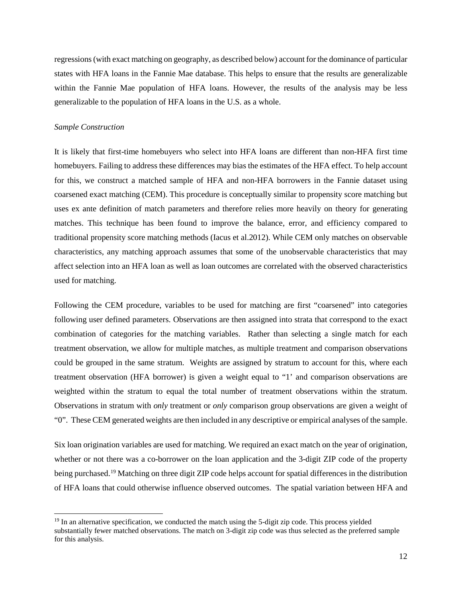regressions (with exact matching on geography, as described below) account for the dominance of particular states with HFA loans in the Fannie Mae database. This helps to ensure that the results are generalizable within the Fannie Mae population of HFA loans. However, the results of the analysis may be less generalizable to the population of HFA loans in the U.S. as a whole.

### *Sample Construction*

It is likely that first-time homebuyers who select into HFA loans are different than non-HFA first time homebuyers. Failing to address these differences may bias the estimates of the HFA effect. To help account for this, we construct a matched sample of HFA and non-HFA borrowers in the Fannie dataset using coarsened exact matching (CEM). This procedure is conceptually similar to propensity score matching but uses ex ante definition of match parameters and therefore relies more heavily on theory for generating matches. This technique has been found to improve the balance, error, and efficiency compared to traditional propensity score matching methods (Iacus et al.2012). While CEM only matches on observable characteristics, any matching approach assumes that some of the unobservable characteristics that may affect selection into an HFA loan as well as loan outcomes are correlated with the observed characteristics used for matching.

Following the CEM procedure, variables to be used for matching are first "coarsened" into categories following user defined parameters. Observations are then assigned into strata that correspond to the exact combination of categories for the matching variables. Rather than selecting a single match for each treatment observation, we allow for multiple matches, as multiple treatment and comparison observations could be grouped in the same stratum. Weights are assigned by stratum to account for this, where each treatment observation (HFA borrower) is given a weight equal to "1' and comparison observations are weighted within the stratum to equal the total number of treatment observations within the stratum. Observations in stratum with *only* treatment or *only* comparison group observations are given a weight of "0". These CEM generated weights are then included in any descriptive or empirical analyses of the sample.

Six loan origination variables are used for matching. We required an exact match on the year of origination, whether or not there was a co-borrower on the loan application and the 3-digit ZIP code of the property being purchased.<sup>[19](#page-11-0)</sup> Matching on three digit ZIP code helps account for spatial differences in the distribution of HFA loans that could otherwise influence observed outcomes. The spatial variation between HFA and

<span id="page-11-0"></span> $19$  In an alternative specification, we conducted the match using the 5-digit zip code. This process yielded substantially fewer matched observations. The match on 3-digit zip code was thus selected as the preferred sample for this analysis.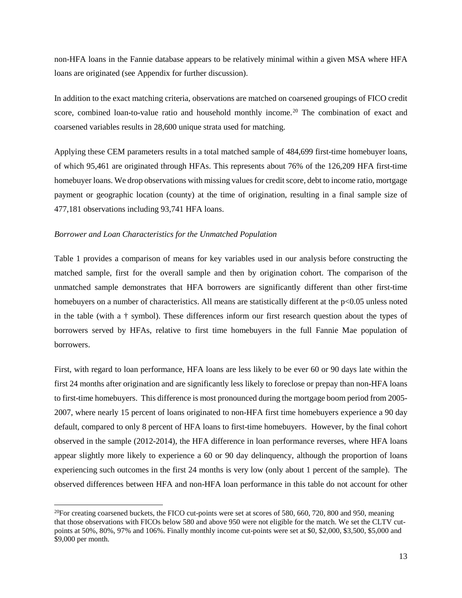non-HFA loans in the Fannie database appears to be relatively minimal within a given MSA where HFA loans are originated (see Appendix for further discussion).

In addition to the exact matching criteria, observations are matched on coarsened groupings of FICO credit score, combined loan-to-value ratio and household monthly income.<sup>[20](#page-12-0)</sup> The combination of exact and coarsened variables results in 28,600 unique strata used for matching.

Applying these CEM parameters results in a total matched sample of 484,699 first-time homebuyer loans, of which 95,461 are originated through HFAs. This represents about 76% of the 126,209 HFA first-time homebuyer loans. We drop observations with missing values for credit score, debt to income ratio, mortgage payment or geographic location (county) at the time of origination, resulting in a final sample size of 477,181 observations including 93,741 HFA loans.

### *Borrower and Loan Characteristics for the Unmatched Population*

Table 1 provides a comparison of means for key variables used in our analysis before constructing the matched sample, first for the overall sample and then by origination cohort. The comparison of the unmatched sample demonstrates that HFA borrowers are significantly different than other first-time homebuyers on a number of characteristics. All means are statistically different at the p<0.05 unless noted in the table (with a † symbol). These differences inform our first research question about the types of borrowers served by HFAs, relative to first time homebuyers in the full Fannie Mae population of borrowers.

First, with regard to loan performance, HFA loans are less likely to be ever 60 or 90 days late within the first 24 months after origination and are significantly less likely to foreclose or prepay than non-HFA loans to first-time homebuyers. This difference is most pronounced during the mortgage boom period from 2005- 2007, where nearly 15 percent of loans originated to non-HFA first time homebuyers experience a 90 day default, compared to only 8 percent of HFA loans to first-time homebuyers. However, by the final cohort observed in the sample (2012-2014), the HFA difference in loan performance reverses, where HFA loans appear slightly more likely to experience a 60 or 90 day delinquency, although the proportion of loans experiencing such outcomes in the first 24 months is very low (only about 1 percent of the sample). The observed differences between HFA and non-HFA loan performance in this table do not account for other

<span id="page-12-0"></span> $^{20}$ For creating coarsened buckets, the FICO cut-points were set at scores of 580, 660, 720, 800 and 950, meaning that those observations with FICOs below 580 and above 950 were not eligible for the match. We set the CLTV cutpoints at 50%, 80%, 97% and 106%. Finally monthly income cut-points were set at \$0, \$2,000, \$3,500, \$5,000 and \$9,000 per month.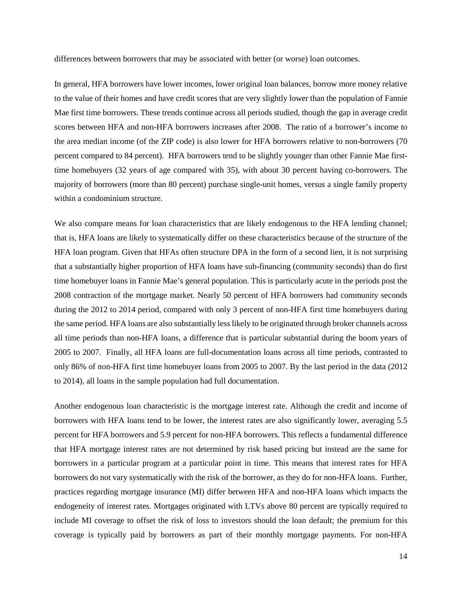differences between borrowers that may be associated with better (or worse) loan outcomes.

In general, HFA borrowers have lower incomes, lower original loan balances, borrow more money relative to the value of their homes and have credit scores that are very slightly lower than the population of Fannie Mae first time borrowers. These trends continue across all periods studied, though the gap in average credit scores between HFA and non-HFA borrowers increases after 2008. The ratio of a borrower's income to the area median income (of the ZIP code) is also lower for HFA borrowers relative to non-borrowers (70 percent compared to 84 percent). HFA borrowers tend to be slightly younger than other Fannie Mae firsttime homebuyers (32 years of age compared with 35), with about 30 percent having co-borrowers. The majority of borrowers (more than 80 percent) purchase single-unit homes, versus a single family property within a condominium structure.

We also compare means for loan characteristics that are likely endogenous to the HFA lending channel; that is, HFA loans are likely to systematically differ on these characteristics because of the structure of the HFA loan program. Given that HFAs often structure DPA in the form of a second lien, it is not surprising that a substantially higher proportion of HFA loans have sub-financing (community seconds) than do first time homebuyer loans in Fannie Mae's general population. This is particularly acute in the periods post the 2008 contraction of the mortgage market. Nearly 50 percent of HFA borrowers had community seconds during the 2012 to 2014 period, compared with only 3 percent of non-HFA first time homebuyers during the same period. HFA loans are also substantially less likely to be originated through broker channels across all time periods than non-HFA loans, a difference that is particular substantial during the boom years of 2005 to 2007. Finally, all HFA loans are full-documentation loans across all time periods, contrasted to only 86% of non-HFA first time homebuyer loans from 2005 to 2007. By the last period in the data (2012 to 2014), all loans in the sample population had full documentation.

Another endogenous loan characteristic is the mortgage interest rate. Although the credit and income of borrowers with HFA loans tend to be lower, the interest rates are also significantly lower, averaging 5.5 percent for HFA borrowers and 5.9 percent for non-HFA borrowers. This reflects a fundamental difference that HFA mortgage interest rates are not determined by risk based pricing but instead are the same for borrowers in a particular program at a particular point in time. This means that interest rates for HFA borrowers do not vary systematically with the risk of the borrower, as they do for non-HFA loans. Further, practices regarding mortgage insurance (MI) differ between HFA and non-HFA loans which impacts the endogeneity of interest rates. Mortgages originated with LTVs above 80 percent are typically required to include MI coverage to offset the risk of loss to investors should the loan default; the premium for this coverage is typically paid by borrowers as part of their monthly mortgage payments. For non-HFA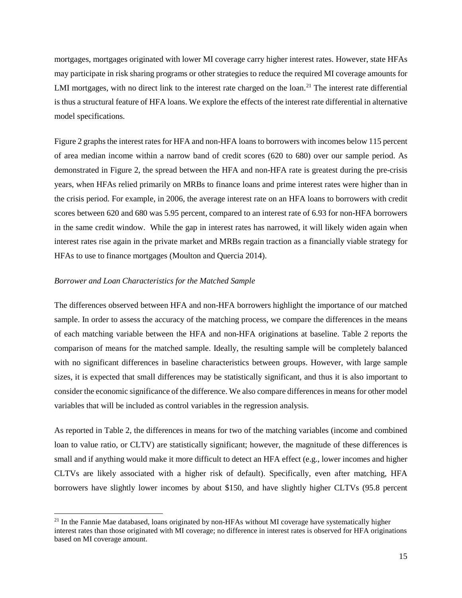mortgages, mortgages originated with lower MI coverage carry higher interest rates. However, state HFAs may participate in risk sharing programs or other strategies to reduce the required MI coverage amounts for LMI mortgages, with no direct link to the interest rate charged on the loan.<sup>[21](#page-14-0)</sup> The interest rate differential is thus a structural feature of HFA loans. We explore the effects of the interest rate differential in alternative model specifications.

Figure 2 graphs the interest rates for HFA and non-HFA loans to borrowers with incomes below 115 percent of area median income within a narrow band of credit scores (620 to 680) over our sample period. As demonstrated in Figure 2, the spread between the HFA and non-HFA rate is greatest during the pre-crisis years, when HFAs relied primarily on MRBs to finance loans and prime interest rates were higher than in the crisis period. For example, in 2006, the average interest rate on an HFA loans to borrowers with credit scores between 620 and 680 was 5.95 percent, compared to an interest rate of 6.93 for non-HFA borrowers in the same credit window. While the gap in interest rates has narrowed, it will likely widen again when interest rates rise again in the private market and MRBs regain traction as a financially viable strategy for HFAs to use to finance mortgages (Moulton and Quercia 2014).

### *Borrower and Loan Characteristics for the Matched Sample*

The differences observed between HFA and non-HFA borrowers highlight the importance of our matched sample. In order to assess the accuracy of the matching process, we compare the differences in the means of each matching variable between the HFA and non-HFA originations at baseline. Table 2 reports the comparison of means for the matched sample. Ideally, the resulting sample will be completely balanced with no significant differences in baseline characteristics between groups. However, with large sample sizes, it is expected that small differences may be statistically significant, and thus it is also important to consider the economic significance of the difference. We also compare differences in means for other model variables that will be included as control variables in the regression analysis.

As reported in Table 2, the differences in means for two of the matching variables (income and combined loan to value ratio, or CLTV) are statistically significant; however, the magnitude of these differences is small and if anything would make it more difficult to detect an HFA effect (e.g., lower incomes and higher CLTVs are likely associated with a higher risk of default). Specifically, even after matching, HFA borrowers have slightly lower incomes by about \$150, and have slightly higher CLTVs (95.8 percent

<span id="page-14-0"></span><sup>&</sup>lt;sup>21</sup> In the Fannie Mae databased, loans originated by non-HFAs without MI coverage have systematically higher interest rates than those originated with MI coverage; no difference in interest rates is observed for HFA originations based on MI coverage amount.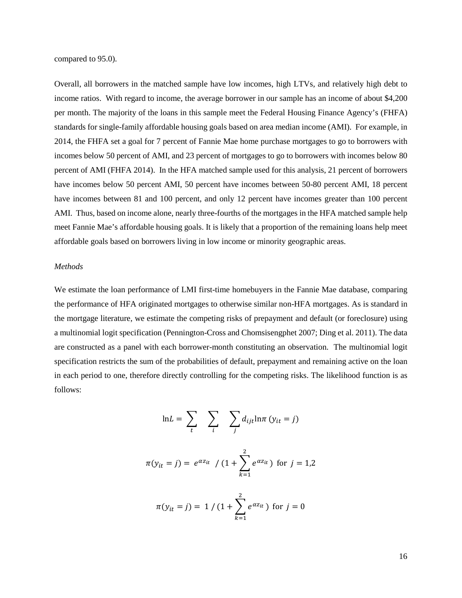compared to 95.0).

Overall, all borrowers in the matched sample have low incomes, high LTVs, and relatively high debt to income ratios. With regard to income, the average borrower in our sample has an income of about \$4,200 per month. The majority of the loans in this sample meet the Federal Housing Finance Agency's (FHFA) standards for single-family affordable housing goals based on area median income (AMI). For example, in 2014, the FHFA set a goal for 7 percent of Fannie Mae home purchase mortgages to go to borrowers with incomes below 50 percent of AMI, and 23 percent of mortgages to go to borrowers with incomes below 80 percent of AMI (FHFA 2014). In the HFA matched sample used for this analysis, 21 percent of borrowers have incomes below 50 percent AMI, 50 percent have incomes between 50-80 percent AMI, 18 percent have incomes between 81 and 100 percent, and only 12 percent have incomes greater than 100 percent AMI. Thus, based on income alone, nearly three-fourths of the mortgages in the HFA matched sample help meet Fannie Mae's affordable housing goals. It is likely that a proportion of the remaining loans help meet affordable goals based on borrowers living in low income or minority geographic areas.

### *Methods*

We estimate the loan performance of LMI first-time homebuyers in the Fannie Mae database, comparing the performance of HFA originated mortgages to otherwise similar non-HFA mortgages. As is standard in the mortgage literature, we estimate the competing risks of prepayment and default (or foreclosure) using a multinomial logit specification (Pennington-Cross and Chomsisengphet 2007; Ding et al. 2011). The data are constructed as a panel with each borrower-month constituting an observation. The multinomial logit specification restricts the sum of the probabilities of default, prepayment and remaining active on the loan in each period to one, therefore directly controlling for the competing risks. The likelihood function is as follows:

$$
\ln L = \sum_{t} \sum_{i} \sum_{j} d_{ijt} \ln \pi (y_{it} = j)
$$

$$
\pi(y_{it} = j) = e^{\alpha z_{it}} / (1 + \sum_{k=1}^{2} e^{\alpha z_{it}})
$$
 for  $j = 1,2$ 

$$
\pi(y_{it} = j) = 1/(1 + \sum_{k=1}^{2} e^{\alpha z_{it}})
$$
 for  $j = 0$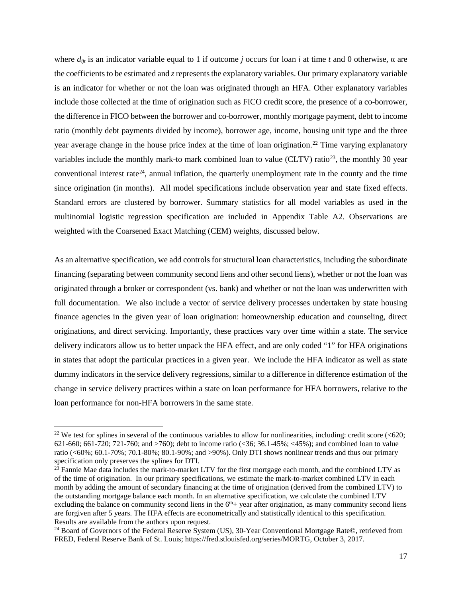where  $d_{ijt}$  is an indicator variable equal to 1 if outcome *j* occurs for loan *i* at time *t* and 0 otherwise,  $\alpha$  are the coefficients to be estimated and *z*represents the explanatory variables. Our primary explanatory variable is an indicator for whether or not the loan was originated through an HFA. Other explanatory variables include those collected at the time of origination such as FICO credit score, the presence of a co-borrower, the difference in FICO between the borrower and co-borrower, monthly mortgage payment, debt to income ratio (monthly debt payments divided by income), borrower age, income, housing unit type and the three year average change in the house price index at the time of loan origination. [22](#page-16-0) Time varying explanatory variables include the monthly mark-to mark combined loan to value (CLTV) ratio<sup>23</sup>, the monthly 30 year conventional interest rate<sup>24</sup>, annual inflation, the quarterly unemployment rate in the county and the time since origination (in months). All model specifications include observation year and state fixed effects. Standard errors are clustered by borrower. Summary statistics for all model variables as used in the multinomial logistic regression specification are included in Appendix Table A2. Observations are weighted with the Coarsened Exact Matching (CEM) weights, discussed below.

As an alternative specification, we add controls for structural loan characteristics, including the subordinate financing (separating between community second liens and other second liens), whether or not the loan was originated through a broker or correspondent (vs. bank) and whether or not the loan was underwritten with full documentation. We also include a vector of service delivery processes undertaken by state housing finance agencies in the given year of loan origination: homeownership education and counseling, direct originations, and direct servicing. Importantly, these practices vary over time within a state. The service delivery indicators allow us to better unpack the HFA effect, and are only coded "1" for HFA originations in states that adopt the particular practices in a given year. We include the HFA indicator as well as state dummy indicators in the service delivery regressions, similar to a difference in difference estimation of the change in service delivery practices within a state on loan performance for HFA borrowers, relative to the loan performance for non-HFA borrowers in the same state.

<span id="page-16-0"></span> $22$  We test for splines in several of the continuous variables to allow for nonlinearities, including: credit score (<620; 621-660; 661-720; 721-760; and >760); debt to income ratio (<36; 36.1-45%; <45%); and combined loan to value ratio (<60%; 60.1-70%; 70.1-80%; 80.1-90%; and >90%). Only DTI shows nonlinear trends and thus our primary specification only preserves the splines for DTI.

<span id="page-16-1"></span><sup>&</sup>lt;sup>23</sup> Fannie Mae data includes the mark-to-market LTV for the first mortgage each month, and the combined LTV as of the time of origination. In our primary specifications, we estimate the mark-to-market combined LTV in each month by adding the amount of secondary financing at the time of origination (derived from the combined LTV) to the outstanding mortgage balance each month. In an alternative specification, we calculate the combined LTV excluding the balance on community second liens in the  $6<sup>th</sup>$  year after origination, as many community second liens are forgiven after 5 years. The HFA effects are econometrically and statistically identical to this specification. Results are available from the authors upon request.

<span id="page-16-2"></span><sup>&</sup>lt;sup>24</sup> Board of Governors of the Federal Reserve System (US), 30-Year Conventional Mortgage Rate©, retrieved from FRED, Federal Reserve Bank of St. Louis; https://fred.stlouisfed.org/series/MORTG, October 3, 2017.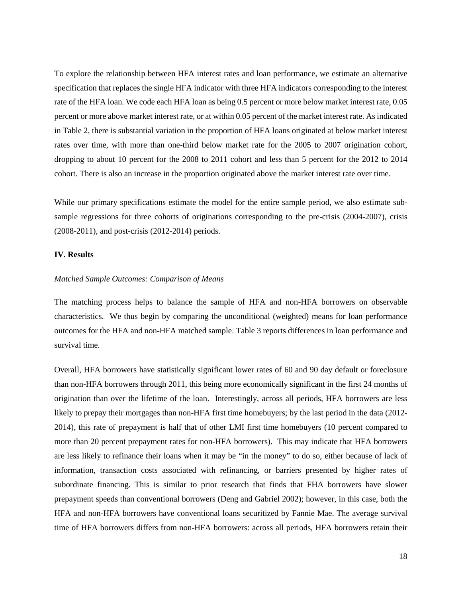To explore the relationship between HFA interest rates and loan performance, we estimate an alternative specification that replaces the single HFA indicator with three HFA indicators corresponding to the interest rate of the HFA loan. We code each HFA loan as being 0.5 percent or more below market interest rate, 0.05 percent or more above market interest rate, or at within 0.05 percent of the market interest rate. As indicated in Table 2, there is substantial variation in the proportion of HFA loans originated at below market interest rates over time, with more than one-third below market rate for the 2005 to 2007 origination cohort, dropping to about 10 percent for the 2008 to 2011 cohort and less than 5 percent for the 2012 to 2014 cohort. There is also an increase in the proportion originated above the market interest rate over time.

While our primary specifications estimate the model for the entire sample period, we also estimate subsample regressions for three cohorts of originations corresponding to the pre-crisis (2004-2007), crisis (2008-2011), and post-crisis (2012-2014) periods.

### **IV. Results**

#### *Matched Sample Outcomes: Comparison of Means*

The matching process helps to balance the sample of HFA and non-HFA borrowers on observable characteristics. We thus begin by comparing the unconditional (weighted) means for loan performance outcomes for the HFA and non-HFA matched sample. Table 3 reports differences in loan performance and survival time.

Overall, HFA borrowers have statistically significant lower rates of 60 and 90 day default or foreclosure than non-HFA borrowers through 2011, this being more economically significant in the first 24 months of origination than over the lifetime of the loan. Interestingly, across all periods, HFA borrowers are less likely to prepay their mortgages than non-HFA first time homebuyers; by the last period in the data (2012- 2014), this rate of prepayment is half that of other LMI first time homebuyers (10 percent compared to more than 20 percent prepayment rates for non-HFA borrowers). This may indicate that HFA borrowers are less likely to refinance their loans when it may be "in the money" to do so, either because of lack of information, transaction costs associated with refinancing, or barriers presented by higher rates of subordinate financing. This is similar to prior research that finds that FHA borrowers have slower prepayment speeds than conventional borrowers (Deng and Gabriel 2002); however, in this case, both the HFA and non-HFA borrowers have conventional loans securitized by Fannie Mae. The average survival time of HFA borrowers differs from non-HFA borrowers: across all periods, HFA borrowers retain their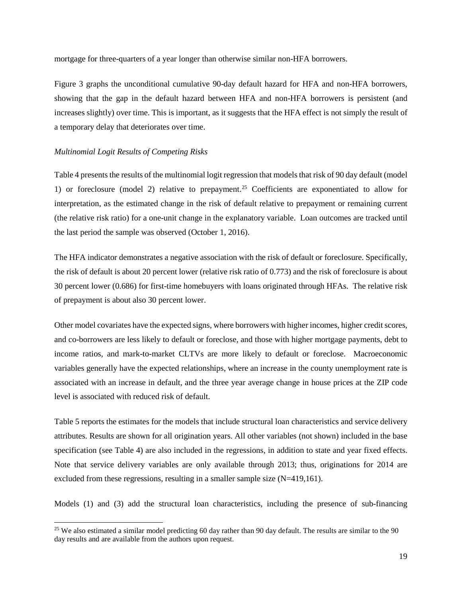mortgage for three-quarters of a year longer than otherwise similar non-HFA borrowers.

Figure 3 graphs the unconditional cumulative 90-day default hazard for HFA and non-HFA borrowers, showing that the gap in the default hazard between HFA and non-HFA borrowers is persistent (and increases slightly) over time. This is important, as it suggests that the HFA effect is not simply the result of a temporary delay that deteriorates over time.

## *Multinomial Logit Results of Competing Risks*

Table 4 presents the results of the multinomial logit regression that models that risk of 90 day default (model 1) or foreclosure (model 2) relative to prepayment. [25](#page-18-0) Coefficients are exponentiated to allow for interpretation, as the estimated change in the risk of default relative to prepayment or remaining current (the relative risk ratio) for a one-unit change in the explanatory variable. Loan outcomes are tracked until the last period the sample was observed (October 1, 2016).

The HFA indicator demonstrates a negative association with the risk of default or foreclosure. Specifically, the risk of default is about 20 percent lower (relative risk ratio of 0.773) and the risk of foreclosure is about 30 percent lower (0.686) for first-time homebuyers with loans originated through HFAs. The relative risk of prepayment is about also 30 percent lower.

Other model covariates have the expected signs, where borrowers with higher incomes, higher credit scores, and co-borrowers are less likely to default or foreclose, and those with higher mortgage payments, debt to income ratios, and mark-to-market CLTVs are more likely to default or foreclose. Macroeconomic variables generally have the expected relationships, where an increase in the county unemployment rate is associated with an increase in default, and the three year average change in house prices at the ZIP code level is associated with reduced risk of default.

Table 5 reports the estimates for the models that include structural loan characteristics and service delivery attributes. Results are shown for all origination years. All other variables (not shown) included in the base specification (see Table 4) are also included in the regressions, in addition to state and year fixed effects. Note that service delivery variables are only available through 2013; thus, originations for 2014 are excluded from these regressions, resulting in a smaller sample size (N=419,161).

Models (1) and (3) add the structural loan characteristics, including the presence of sub-financing

<span id="page-18-0"></span><sup>&</sup>lt;sup>25</sup> We also estimated a similar model predicting 60 day rather than 90 day default. The results are similar to the 90 day results and are available from the authors upon request.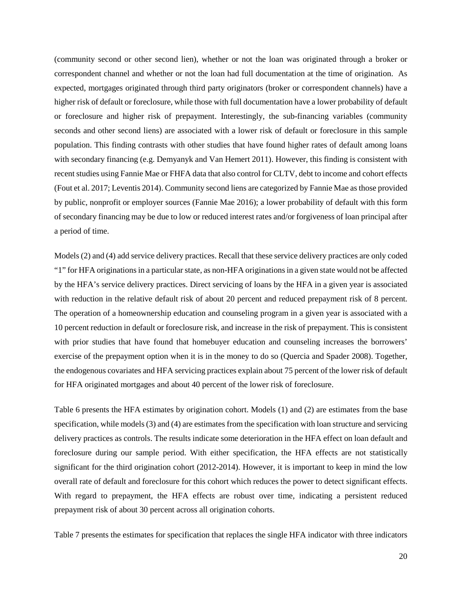(community second or other second lien), whether or not the loan was originated through a broker or correspondent channel and whether or not the loan had full documentation at the time of origination. As expected, mortgages originated through third party originators (broker or correspondent channels) have a higher risk of default or foreclosure, while those with full documentation have a lower probability of default or foreclosure and higher risk of prepayment. Interestingly, the sub-financing variables (community seconds and other second liens) are associated with a lower risk of default or foreclosure in this sample population. This finding contrasts with other studies that have found higher rates of default among loans with secondary financing (e.g. Demyanyk and Van Hemert 2011). However, this finding is consistent with recent studies using Fannie Mae or FHFA data that also control for CLTV, debt to income and cohort effects (Fout et al. 2017; Leventis 2014). Community second liens are categorized by Fannie Mae as those provided by public, nonprofit or employer sources (Fannie Mae 2016); a lower probability of default with this form of secondary financing may be due to low or reduced interest rates and/or forgiveness of loan principal after a period of time.

Models (2) and (4) add service delivery practices. Recall that these service delivery practices are only coded "1" for HFA originations in a particular state, as non-HFA originations in a given state would not be affected by the HFA's service delivery practices. Direct servicing of loans by the HFA in a given year is associated with reduction in the relative default risk of about 20 percent and reduced prepayment risk of 8 percent. The operation of a homeownership education and counseling program in a given year is associated with a 10 percent reduction in default or foreclosure risk, and increase in the risk of prepayment. This is consistent with prior studies that have found that homebuyer education and counseling increases the borrowers' exercise of the prepayment option when it is in the money to do so (Quercia and Spader 2008). Together, the endogenous covariates and HFA servicing practices explain about 75 percent of the lower risk of default for HFA originated mortgages and about 40 percent of the lower risk of foreclosure.

Table 6 presents the HFA estimates by origination cohort. Models (1) and (2) are estimates from the base specification, while models (3) and (4) are estimates from the specification with loan structure and servicing delivery practices as controls. The results indicate some deterioration in the HFA effect on loan default and foreclosure during our sample period. With either specification, the HFA effects are not statistically significant for the third origination cohort (2012-2014). However, it is important to keep in mind the low overall rate of default and foreclosure for this cohort which reduces the power to detect significant effects. With regard to prepayment, the HFA effects are robust over time, indicating a persistent reduced prepayment risk of about 30 percent across all origination cohorts.

Table 7 presents the estimates for specification that replaces the single HFA indicator with three indicators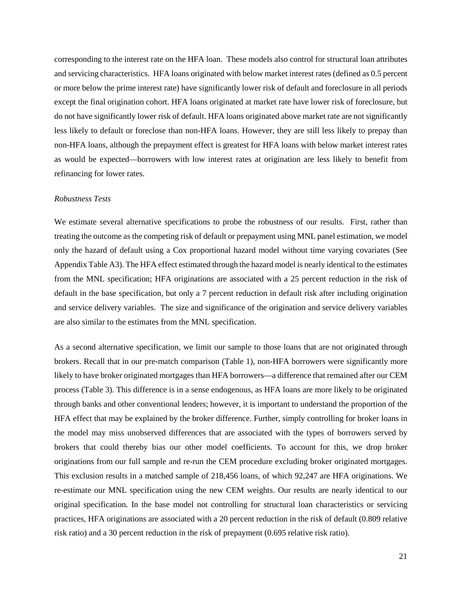corresponding to the interest rate on the HFA loan. These models also control for structural loan attributes and servicing characteristics. HFA loans originated with below market interest rates (defined as 0.5 percent or more below the prime interest rate) have significantly lower risk of default and foreclosure in all periods except the final origination cohort. HFA loans originated at market rate have lower risk of foreclosure, but do not have significantly lower risk of default. HFA loans originated above market rate are not significantly less likely to default or foreclose than non-HFA loans. However, they are still less likely to prepay than non-HFA loans, although the prepayment effect is greatest for HFA loans with below market interest rates as would be expected—borrowers with low interest rates at origination are less likely to benefit from refinancing for lower rates.

### *Robustness Tests*

We estimate several alternative specifications to probe the robustness of our results. First, rather than treating the outcome as the competing risk of default or prepayment using MNL panel estimation, we model only the hazard of default using a Cox proportional hazard model without time varying covariates (See Appendix Table A3). The HFA effect estimated through the hazard model is nearly identical to the estimates from the MNL specification; HFA originations are associated with a 25 percent reduction in the risk of default in the base specification, but only a 7 percent reduction in default risk after including origination and service delivery variables. The size and significance of the origination and service delivery variables are also similar to the estimates from the MNL specification.

As a second alternative specification, we limit our sample to those loans that are not originated through brokers. Recall that in our pre-match comparison (Table 1), non-HFA borrowers were significantly more likely to have broker originated mortgages than HFA borrowers—a difference that remained after our CEM process (Table 3). This difference is in a sense endogenous, as HFA loans are more likely to be originated through banks and other conventional lenders; however, it is important to understand the proportion of the HFA effect that may be explained by the broker difference. Further, simply controlling for broker loans in the model may miss unobserved differences that are associated with the types of borrowers served by brokers that could thereby bias our other model coefficients. To account for this, we drop broker originations from our full sample and re-run the CEM procedure excluding broker originated mortgages. This exclusion results in a matched sample of 218,456 loans, of which 92,247 are HFA originations. We re-estimate our MNL specification using the new CEM weights. Our results are nearly identical to our original specification. In the base model not controlling for structural loan characteristics or servicing practices, HFA originations are associated with a 20 percent reduction in the risk of default (0.809 relative risk ratio) and a 30 percent reduction in the risk of prepayment (0.695 relative risk ratio).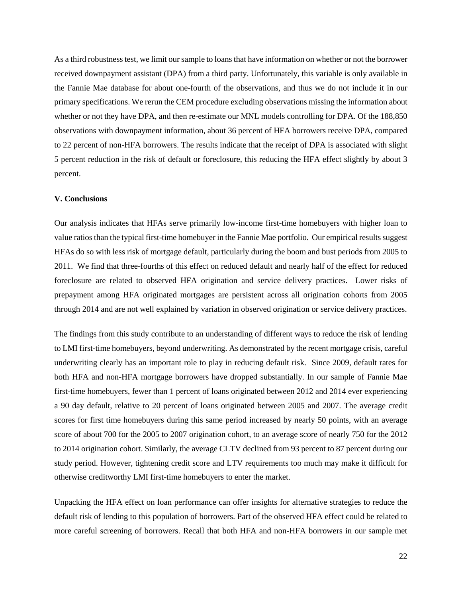As a third robustness test, we limit our sample to loans that have information on whether or not the borrower received downpayment assistant (DPA) from a third party. Unfortunately, this variable is only available in the Fannie Mae database for about one-fourth of the observations, and thus we do not include it in our primary specifications. We rerun the CEM procedure excluding observations missing the information about whether or not they have DPA, and then re-estimate our MNL models controlling for DPA. Of the 188,850 observations with downpayment information, about 36 percent of HFA borrowers receive DPA, compared to 22 percent of non-HFA borrowers. The results indicate that the receipt of DPA is associated with slight 5 percent reduction in the risk of default or foreclosure, this reducing the HFA effect slightly by about 3 percent.

### **V. Conclusions**

Our analysis indicates that HFAs serve primarily low-income first-time homebuyers with higher loan to value ratiosthan the typical first-time homebuyer in the Fannie Mae portfolio. Our empirical results suggest HFAs do so with less risk of mortgage default, particularly during the boom and bust periods from 2005 to 2011. We find that three-fourths of this effect on reduced default and nearly half of the effect for reduced foreclosure are related to observed HFA origination and service delivery practices. Lower risks of prepayment among HFA originated mortgages are persistent across all origination cohorts from 2005 through 2014 and are not well explained by variation in observed origination or service delivery practices.

The findings from this study contribute to an understanding of different ways to reduce the risk of lending to LMI first-time homebuyers, beyond underwriting. As demonstrated by the recent mortgage crisis, careful underwriting clearly has an important role to play in reducing default risk. Since 2009, default rates for both HFA and non-HFA mortgage borrowers have dropped substantially. In our sample of Fannie Mae first-time homebuyers, fewer than 1 percent of loans originated between 2012 and 2014 ever experiencing a 90 day default, relative to 20 percent of loans originated between 2005 and 2007. The average credit scores for first time homebuyers during this same period increased by nearly 50 points, with an average score of about 700 for the 2005 to 2007 origination cohort, to an average score of nearly 750 for the 2012 to 2014 origination cohort. Similarly, the average CLTV declined from 93 percent to 87 percent during our study period. However, tightening credit score and LTV requirements too much may make it difficult for otherwise creditworthy LMI first-time homebuyers to enter the market.

Unpacking the HFA effect on loan performance can offer insights for alternative strategies to reduce the default risk of lending to this population of borrowers. Part of the observed HFA effect could be related to more careful screening of borrowers. Recall that both HFA and non-HFA borrowers in our sample met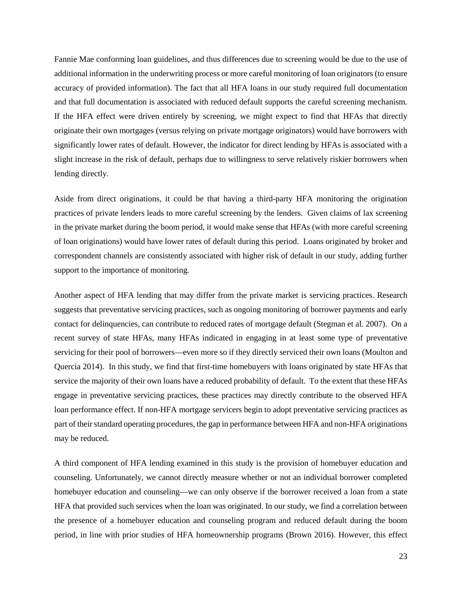Fannie Mae conforming loan guidelines, and thus differences due to screening would be due to the use of additional information in the underwriting process or more careful monitoring of loan originators (to ensure accuracy of provided information). The fact that all HFA loans in our study required full documentation and that full documentation is associated with reduced default supports the careful screening mechanism. If the HFA effect were driven entirely by screening, we might expect to find that HFAs that directly originate their own mortgages (versus relying on private mortgage originators) would have borrowers with significantly lower rates of default. However, the indicator for direct lending by HFAs is associated with a slight increase in the risk of default, perhaps due to willingness to serve relatively riskier borrowers when lending directly.

Aside from direct originations, it could be that having a third-party HFA monitoring the origination practices of private lenders leads to more careful screening by the lenders. Given claims of lax screening in the private market during the boom period, it would make sense that HFAs (with more careful screening of loan originations) would have lower rates of default during this period. Loans originated by broker and correspondent channels are consistently associated with higher risk of default in our study, adding further support to the importance of monitoring.

Another aspect of HFA lending that may differ from the private market is servicing practices. Research suggests that preventative servicing practices, such as ongoing monitoring of borrower payments and early contact for delinquencies, can contribute to reduced rates of mortgage default (Stegman et al. 2007). On a recent survey of state HFAs, many HFAs indicated in engaging in at least some type of preventative servicing for their pool of borrowers—even more so if they directly serviced their own loans (Moulton and Quercia 2014). In this study, we find that first-time homebuyers with loans originated by state HFAs that service the majority of their own loans have a reduced probability of default. To the extent that these HFAs engage in preventative servicing practices, these practices may directly contribute to the observed HFA loan performance effect. If non-HFA mortgage servicers begin to adopt preventative servicing practices as part of their standard operating procedures, the gap in performance between HFA and non-HFA originations may be reduced.

A third component of HFA lending examined in this study is the provision of homebuyer education and counseling. Unfortunately, we cannot directly measure whether or not an individual borrower completed homebuyer education and counseling—we can only observe if the borrower received a loan from a state HFA that provided such services when the loan was originated. In our study, we find a correlation between the presence of a homebuyer education and counseling program and reduced default during the boom period, in line with prior studies of HFA homeownership programs (Brown 2016). However, this effect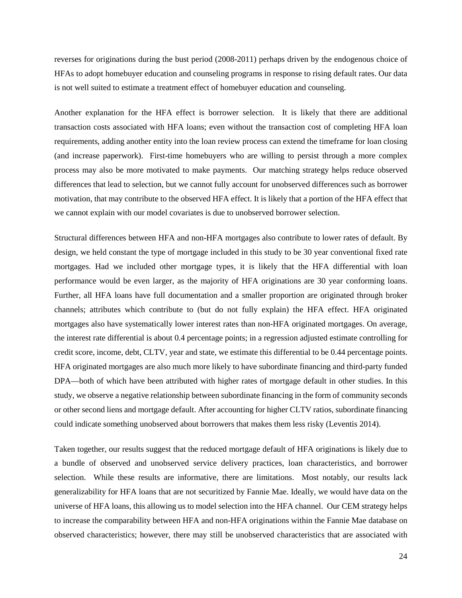reverses for originations during the bust period (2008-2011) perhaps driven by the endogenous choice of HFAs to adopt homebuyer education and counseling programs in response to rising default rates. Our data is not well suited to estimate a treatment effect of homebuyer education and counseling.

Another explanation for the HFA effect is borrower selection. It is likely that there are additional transaction costs associated with HFA loans; even without the transaction cost of completing HFA loan requirements, adding another entity into the loan review process can extend the timeframe for loan closing (and increase paperwork). First-time homebuyers who are willing to persist through a more complex process may also be more motivated to make payments. Our matching strategy helps reduce observed differences that lead to selection, but we cannot fully account for unobserved differences such as borrower motivation, that may contribute to the observed HFA effect. It is likely that a portion of the HFA effect that we cannot explain with our model covariates is due to unobserved borrower selection.

Structural differences between HFA and non-HFA mortgages also contribute to lower rates of default. By design, we held constant the type of mortgage included in this study to be 30 year conventional fixed rate mortgages. Had we included other mortgage types, it is likely that the HFA differential with loan performance would be even larger, as the majority of HFA originations are 30 year conforming loans. Further, all HFA loans have full documentation and a smaller proportion are originated through broker channels; attributes which contribute to (but do not fully explain) the HFA effect. HFA originated mortgages also have systematically lower interest rates than non-HFA originated mortgages. On average, the interest rate differential is about 0.4 percentage points; in a regression adjusted estimate controlling for credit score, income, debt, CLTV, year and state, we estimate this differential to be 0.44 percentage points. HFA originated mortgages are also much more likely to have subordinate financing and third-party funded DPA—both of which have been attributed with higher rates of mortgage default in other studies. In this study, we observe a negative relationship between subordinate financing in the form of community seconds or other second liens and mortgage default. After accounting for higher CLTV ratios, subordinate financing could indicate something unobserved about borrowers that makes them less risky (Leventis 2014).

Taken together, our results suggest that the reduced mortgage default of HFA originations is likely due to a bundle of observed and unobserved service delivery practices, loan characteristics, and borrower selection. While these results are informative, there are limitations. Most notably, our results lack generalizability for HFA loans that are not securitized by Fannie Mae. Ideally, we would have data on the universe of HFA loans, this allowing us to model selection into the HFA channel. Our CEM strategy helps to increase the comparability between HFA and non-HFA originations within the Fannie Mae database on observed characteristics; however, there may still be unobserved characteristics that are associated with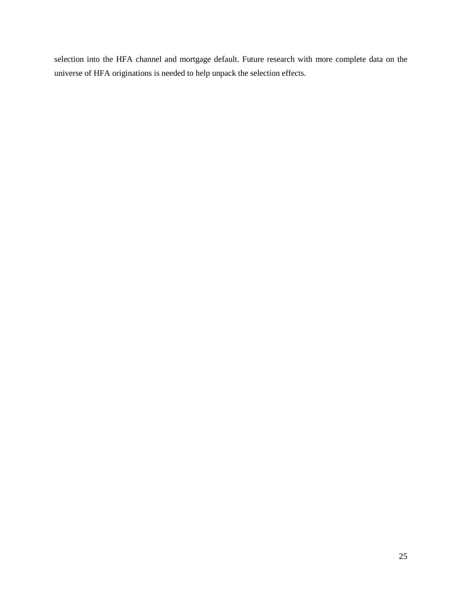selection into the HFA channel and mortgage default. Future research with more complete data on the universe of HFA originations is needed to help unpack the selection effects.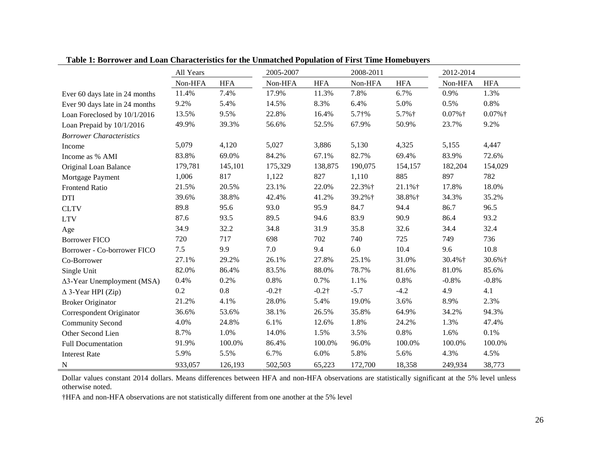|                                    | All Years |            | 2005-2007     |               | 2008-2011  |            | 2012-2014 |            |
|------------------------------------|-----------|------------|---------------|---------------|------------|------------|-----------|------------|
|                                    | Non-HFA   | <b>HFA</b> | Non-HFA       | <b>HFA</b>    | Non-HFA    | <b>HFA</b> | Non-HFA   | <b>HFA</b> |
| Ever 60 days late in 24 months     | 11.4%     | 7.4%       | 17.9%         | 11.3%         | 7.8%       | 6.7%       | 0.9%      | 1.3%       |
| Ever 90 days late in 24 months     | 9.2%      | 5.4%       | 14.5%         | 8.3%          | 6.4%       | 5.0%       | 0.5%      | 0.8%       |
| Loan Foreclosed by 10/1/2016       | 13.5%     | 9.5%       | 22.8%         | 16.4%         | $5.7 + \%$ | 5.7%†      | $0.07%$ † | $0.07%$ †  |
| Loan Prepaid by 10/1/2016          | 49.9%     | 39.3%      | 56.6%         | 52.5%         | 67.9%      | 50.9%      | 23.7%     | 9.2%       |
| <b>Borrower Characteristics</b>    |           |            |               |               |            |            |           |            |
| Income                             | 5,079     | 4,120      | 5,027         | 3,886         | 5,130      | 4,325      | 5,155     | 4,447      |
| Income as % AMI                    | 83.8%     | 69.0%      | 84.2%         | 67.1%         | 82.7%      | 69.4%      | 83.9%     | 72.6%      |
| Original Loan Balance              | 179,781   | 145,101    | 175,329       | 138,875       | 190,075    | 154,157    | 182,204   | 154,029    |
| Mortgage Payment                   | 1,006     | 817        | 1,122         | 827           | 1,110      | 885        | 897       | 782        |
| <b>Frontend Ratio</b>              | 21.5%     | 20.5%      | 23.1%         | 22.0%         | 22.3%+     | 21.1%+     | 17.8%     | 18.0%      |
| <b>DTI</b>                         | 39.6%     | 38.8%      | 42.4%         | 41.2%         | 39.2%+     | 38.8%+     | 34.3%     | 35.2%      |
| <b>CLTV</b>                        | 89.8      | 95.6       | 93.0          | 95.9          | 84.7       | 94.4       | 86.7      | 96.5       |
| <b>LTV</b>                         | 87.6      | 93.5       | 89.5          | 94.6          | 83.9       | 90.9       | 86.4      | 93.2       |
| Age                                | 34.9      | 32.2       | 34.8          | 31.9          | 35.8       | 32.6       | 34.4      | 32.4       |
| <b>Borrower FICO</b>               | 720       | 717        | 698           | 702           | 740        | 725        | 749       | 736        |
| Borrower - Co-borrower FICO        | 7.5       | 9.9        | 7.0           | 9.4           | 6.0        | 10.4       | 9.6       | 10.8       |
| Co-Borrower                        | 27.1%     | 29.2%      | 26.1%         | 27.8%         | 25.1%      | 31.0%      | 30.4%+    | 30.6%+     |
| Single Unit                        | 82.0%     | 86.4%      | 83.5%         | 88.0%         | 78.7%      | 81.6%      | 81.0%     | 85.6%      |
| $\Delta$ 3-Year Unemployment (MSA) | 0.4%      | 0.2%       | 0.8%          | 0.7%          | 1.1%       | 0.8%       | $-0.8%$   | $-0.8%$    |
| $\triangle$ 3-Year HPI (Zip)       | 0.2       | 0.8        | $-0.2\dagger$ | $-0.2\dagger$ | $-5.7$     | $-4.2$     | 4.9       | 4.1        |
| <b>Broker Originator</b>           | 21.2%     | 4.1%       | 28.0%         | 5.4%          | 19.0%      | 3.6%       | 8.9%      | 2.3%       |
| Correspondent Originator           | 36.6%     | 53.6%      | 38.1%         | 26.5%         | 35.8%      | 64.9%      | 34.2%     | 94.3%      |
| <b>Community Second</b>            | 4.0%      | 24.8%      | 6.1%          | 12.6%         | 1.8%       | 24.2%      | 1.3%      | 47.4%      |
| Other Second Lien                  | 8.7%      | 1.0%       | 14.0%         | 1.5%          | 3.5%       | 0.8%       | 1.6%      | 0.1%       |
| <b>Full Documentation</b>          | 91.9%     | 100.0%     | 86.4%         | 100.0%        | 96.0%      | 100.0%     | 100.0%    | 100.0%     |
| <b>Interest Rate</b>               | 5.9%      | 5.5%       | 6.7%          | 6.0%          | 5.8%       | 5.6%       | 4.3%      | 4.5%       |
| N                                  | 933,057   | 126,193    | 502,503       | 65,223        | 172,700    | 18,358     | 249,934   | 38,773     |

**Table 1: Borrower and Loan Characteristics for the Unmatched Population of First Time Homebuyers**

Dollar values constant 2014 dollars. Means differences between HFA and non-HFA observations are statistically significant at the 5% level unless otherwise noted.

†HFA and non-HFA observations are not statistically different from one another at the 5% level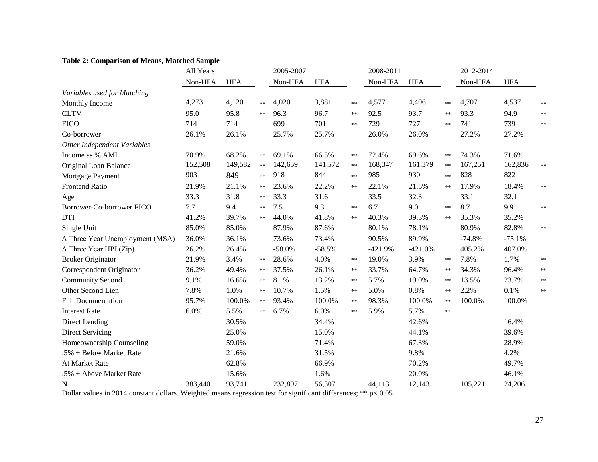|  | <b>Table 2: Comparison of Means, Matched Sample</b> |  |  |  |
|--|-----------------------------------------------------|--|--|--|
|--|-----------------------------------------------------|--|--|--|

| гарк 2. Сонрагвон ог вканз, втакиса вашрк | All Years |            |               | 2005-2007 |            |            | 2008-2011 |            |               | 2012-2014 |            |      |
|-------------------------------------------|-----------|------------|---------------|-----------|------------|------------|-----------|------------|---------------|-----------|------------|------|
|                                           | Non-HFA   | <b>HFA</b> |               | Non-HFA   | <b>HFA</b> |            | Non-HFA   | <b>HFA</b> |               | Non-HFA   | <b>HFA</b> |      |
| Variables used for Matching               |           |            |               |           |            |            |           |            |               |           |            |      |
| Monthly Income                            | 4,273     | 4,120      | $**$          | 4,020     | 3,881      | $\ast$     | 4,577     | 4,406      | $**$          | 4,707     | 4,537      | $**$ |
| <b>CLTV</b>                               | 95.0      | 95.8       | $**$          | 96.3      | 96.7       | $\ast\ast$ | 92.5      | 93.7       | $**$          | 93.3      | 94.9       | **   |
| <b>FICO</b>                               | 714       | 714        |               | 699       | 701        | $\ast\ast$ | 729       | 727        | $**$          | 741       | 739        | $**$ |
| Co-borrower                               | 26.1%     | 26.1%      |               | 25.7%     | 25.7%      |            | 26.0%     | 26.0%      |               | 27.2%     | 27.2%      |      |
| Other Independent Variables               |           |            |               |           |            |            |           |            |               |           |            |      |
| Income as % AMI                           | 70.9%     | 68.2%      | $**$          | 69.1%     | 66.5%      | $\ast\ast$ | 72.4%     | 69.6%      | $**$          | 74.3%     | 71.6%      |      |
| Original Loan Balance                     | 152,508   | 149,582    | $**$          | 142,659   | 141,572    | $\ast$     | 168,347   | 161,379    | $**$          | 167,251   | 162,836    | $**$ |
| Mortgage Payment                          | 903       | 849        | $**$          | 918       | 844        | $\ast\ast$ | 985       | 930        | **            | 828       | 822        |      |
| <b>Frontend Ratio</b>                     | 21.9%     | 21.1%      | $\ast\ast$    | 23.6%     | 22.2%      | $\ast\ast$ | 22.1%     | 21.5%      | $\ast$ $\ast$ | 17.9%     | 18.4%      | $**$ |
| Age                                       | 33.3      | 31.8       | $\ast\ast$    | 33.3      | 31.6       |            | 33.5      | 32.3       |               | 33.1      | 32.1       |      |
| Borrower-Co-borrower FICO                 | 7.7       | 9.4        | $**$          | 7.5       | 9.3        | $\ast\ast$ | 6.7       | 9.0        | $**$          | 8.7       | 9.9        | $**$ |
| <b>DTI</b>                                | 41.2%     | 39.7%      | $**$          | 44.0%     | 41.8%      | $\ast$     | 40.3%     | 39.3%      | $\ast\ast$    | 35.3%     | 35.2%      |      |
| Single Unit                               | 85.0%     | 85.0%      |               | 87.9%     | 87.6%      |            | 80.1%     | 78.1%      |               | 80.9%     | 82.8%      | $**$ |
| $\Delta$ Three Year Unemployment (MSA)    | 36.0%     | 36.1%      |               | 73.6%     | 73.4%      |            | 90.5%     | 89.9%      |               | $-74.8%$  | $-75.1%$   |      |
| $\Delta$ Three Year HPI (Zip)             | 26.2%     | 26.4%      |               | $-58.0%$  | $-58.5%$   |            | $-421.9%$ | $-421.0%$  |               | 405.2%    | 407.0%     |      |
| <b>Broker Originator</b>                  | 21.9%     | 3.4%       | $\ast\ast$    | 28.6%     | 4.0%       | $\ast\ast$ | 19.0%     | 3.9%       | $**$          | 7.8%      | 1.7%       | **   |
| Correspondent Originator                  | 36.2%     | 49.4%      | $**$          | 37.5%     | 26.1%      | $\ast\ast$ | 33.7%     | 64.7%      | $\ast\ast$    | 34.3%     | 96.4%      | **   |
| <b>Community Second</b>                   | 9.1%      | 16.6%      | $\ast$ $\ast$ | 8.1%      | 13.2%      | $\ast$     | 5.7%      | 19.0%      | $\ast$ $\ast$ | 13.5%     | 23.7%      | $**$ |
| Other Second Lien                         | 7.8%      | 1.0%       | $\ast\ast$    | 10.7%     | 1.5%       | $\ast$     | 5.0%      | 0.8%       | $\ast$ $\ast$ | 2.2%      | 0.1%       | $**$ |
| <b>Full Documentation</b>                 | 95.7%     | 100.0%     | $\ast\ast$    | 93.4%     | 100.0%     | $\ast\ast$ | 98.3%     | 100.0%     | $\ast\ast$    | 100.0%    | 100.0%     |      |
| <b>Interest Rate</b>                      | 6.0%      | 5.5%       | $**$          | 6.7%      | 6.0%       | $**$       | 5.9%      | 5.7%       | **            |           |            |      |
| Direct Lending                            |           | 30.5%      |               |           | 34.4%      |            |           | 42.6%      |               |           | 16.4%      |      |
| <b>Direct Servicing</b>                   |           | 25.0%      |               |           | 15.0%      |            |           | 44.1%      |               |           | 39.6%      |      |
| Homeownership Counseling                  |           | 59.0%      |               |           | 71.4%      |            |           | 67.3%      |               |           | 28.9%      |      |
| .5% + Below Market Rate                   |           | 21.6%      |               |           | 31.5%      |            |           | 9.8%       |               |           | 4.2%       |      |
| At Market Rate                            |           | 62.8%      |               |           | 66.9%      |            |           | 70.2%      |               |           | 49.7%      |      |
| $.5\% +$ Above Market Rate                |           | 15.6%      |               |           | 1.6%       |            |           | 20.0%      |               |           | 46.1%      |      |
| $\mathbf N$                               | 383,440   | 93,741     |               | 232,897   | 56,307     |            | 44,113    | 12,143     |               | 105,221   | 24,206     |      |

Dollar values in 2014 constant dollars. Weighted means regression test for significant differences; \*\* p< 0.05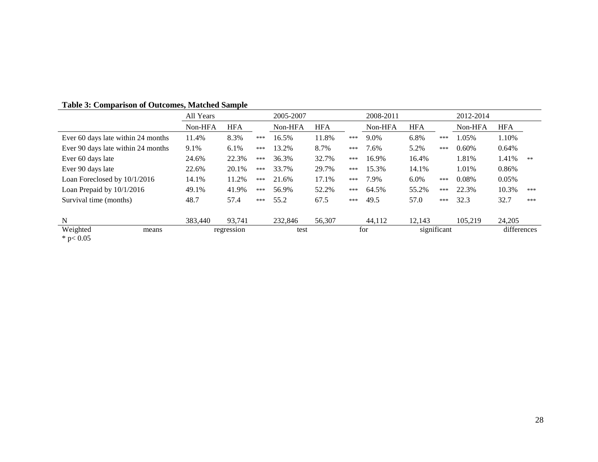|                                    | All Years | 2005-2007  |     |         | 2008-2011  |     |         | 2012-2014  |             |         |             |     |
|------------------------------------|-----------|------------|-----|---------|------------|-----|---------|------------|-------------|---------|-------------|-----|
|                                    | Non-HFA   | <b>HFA</b> |     | Non-HFA | <b>HFA</b> |     | Non-HFA | <b>HFA</b> |             | Non-HFA | <b>HFA</b>  |     |
| Ever 60 days late within 24 months | 11.4%     | 8.3%       | *** | 16.5%   | 11.8%      | *** | 9.0%    | 6.8%       | ***         | 1.05%   | 1.10%       |     |
| Ever 90 days late within 24 months | 9.1%      | 6.1%       | *** | 13.2%   | 8.7%       | *** | 7.6%    | 5.2%       | ***         | 0.60%   | 0.64%       |     |
| Ever 60 days late                  | 24.6%     | 22.3%      | *** | 36.3%   | 32.7%      | *** | 16.9%   | 16.4%      |             | 1.81%   | 1.41%       | 米米  |
| Ever 90 days late                  | 22.6%     | 20.1%      | *** | 33.7%   | 29.7%      | *** | 15.3%   | 14.1%      |             | 1.01%   | 0.86%       |     |
| Loan Foreclosed by 10/1/2016       | 14.1%     | 11.2%      | *** | 21.6%   | 17.1%      | *** | 7.9%    | $6.0\%$    | ***         | 0.08%   | 0.05%       |     |
| Loan Prepaid by 10/1/2016          | 49.1%     | 41.9%      | *** | 56.9%   | 52.2%      | *** | 64.5%   | 55.2%      | ***         | 22.3%   | 10.3%       | *** |
| Survival time (months)             | 48.7      | 57.4       | *** | 55.2    | 67.5       | *** | 49.5    | 57.0       | ***         | 32.3    | 32.7        | *** |
| N                                  | 383,440   | 93,741     |     | 232,846 | 56,307     |     | 44,112  | 12,143     |             | 105.219 | 24,205      |     |
| Weighted<br>means<br>* $p < 0.05$  |           | regression |     | test    |            |     | for     |            | significant |         | differences |     |

# **Table 3: Comparison of Outcomes, Matched Sample**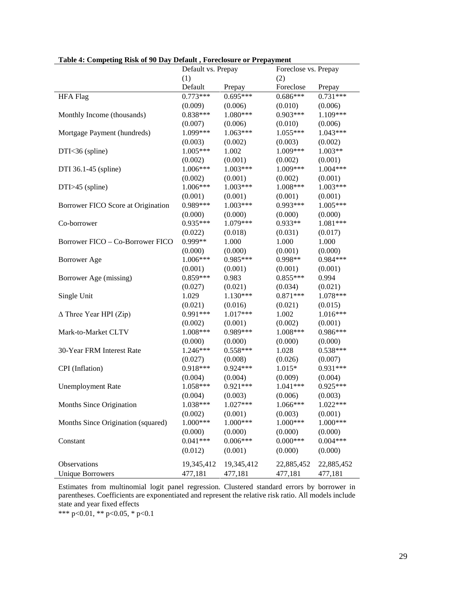| Table 4. Competing Kisk of 70 Day Default, Foreclosure of Frepayment | Default vs. Prepay | Foreclose vs. Prepay |            |            |  |
|----------------------------------------------------------------------|--------------------|----------------------|------------|------------|--|
|                                                                      | (1)                |                      | (2)        |            |  |
|                                                                      | Default            | Prepay               | Foreclose  | Prepay     |  |
| <b>HFA Flag</b>                                                      | $0.773***$         | $0.695***$           | $0.686***$ | $0.731***$ |  |
|                                                                      | (0.009)            | (0.006)              | (0.010)    | (0.006)    |  |
| Monthly Income (thousands)                                           | $0.838***$         | 1.080***             | $0.903***$ | 1.109***   |  |
|                                                                      | (0.007)            | (0.006)              | (0.010)    | (0.006)    |  |
| Mortgage Payment (hundreds)                                          | 1.099***           | $1.063***$           | 1.055***   | $1.043***$ |  |
|                                                                      | (0.003)            | (0.002)              | (0.003)    | (0.002)    |  |
| DTI<36 (spline)                                                      | $1.005***$         | 1.002                | 1.009***   | $1.003**$  |  |
|                                                                      | (0.002)            | (0.001)              | (0.002)    | (0.001)    |  |
| DTI 36.1-45 (spline)                                                 | 1.006***           | $1.003***$           | 1.009***   | $1.004***$ |  |
|                                                                      | (0.002)            | (0.001)              | (0.002)    | (0.001)    |  |
| $DTI > 45$ (spline)                                                  | 1.006***           | $1.003***$           | 1.008***   | $1.003***$ |  |
|                                                                      | (0.001)            | (0.001)              | (0.001)    | (0.001)    |  |
| Borrower FICO Score at Origination                                   | 0.989***           | $1.003***$           | $0.993***$ | $1.005***$ |  |
|                                                                      | (0.000)            | (0.000)              | (0.000)    | (0.000)    |  |
| Co-borrower                                                          | 0.935***           | 1.079***             | $0.933**$  | 1.081***   |  |
|                                                                      | (0.022)            | (0.018)              | (0.031)    | (0.017)    |  |
| Borrower FICO – Co-Borrower FICO                                     | 0.999**            | 1.000                | 1.000      | 1.000      |  |
|                                                                      | (0.000)            | (0.000)              | (0.001)    | (0.000)    |  |
| <b>Borrower</b> Age                                                  | 1.006***           | 0.985***             | 0.998**    | 0.984 ***  |  |
|                                                                      | (0.001)            | (0.001)              | (0.001)    | (0.001)    |  |
| Borrower Age (missing)                                               | $0.859***$         | 0.983                | $0.855***$ | 0.994      |  |
|                                                                      | (0.027)            | (0.021)              | (0.034)    | (0.021)    |  |
| Single Unit                                                          | 1.029              | $1.130***$           | $0.871***$ | 1.078***   |  |
|                                                                      | (0.021)            | (0.016)              | (0.021)    | (0.015)    |  |
| $\Delta$ Three Year HPI (Zip)                                        | 0.991 ***          | 1.017***             | 1.002      | $1.016***$ |  |
|                                                                      | (0.002)            | (0.001)              | (0.002)    | (0.001)    |  |
| Mark-to-Market CLTV                                                  | 1.008***           | 0.989***             | 1.008***   | 0.986***   |  |
|                                                                      | (0.000)            | (0.000)              | (0.000)    | (0.000)    |  |
| 30-Year FRM Interest Rate                                            | 1.246***           | $0.558***$           | 1.028      | $0.538***$ |  |
|                                                                      | (0.027)            | (0.008)              | (0.026)    | (0.007)    |  |
| CPI (Inflation)                                                      | $0.918***$         | $0.924***$           | 1.015*     | $0.931***$ |  |
|                                                                      | (0.004)            | (0.004)              | (0.009)    | (0.004)    |  |
| <b>Unemployment Rate</b>                                             | 1.058***           | $0.921***$           | $1.041***$ | $0.925***$ |  |
|                                                                      | (0.004)            | (0.003)              | (0.006)    | (0.003)    |  |
| Months Since Origination                                             | 1.038***           | 1.027***             | 1.066***   | 1.022***   |  |
|                                                                      | (0.002)            | (0.001)              | (0.003)    | (0.001)    |  |
| Months Since Origination (squared)                                   | 1.000***           | 1.000***             | 1.000***   | $1.000***$ |  |
|                                                                      | (0.000)            | (0.000)              | (0.000)    | (0.000)    |  |
| Constant                                                             | $0.041***$         | $0.006***$           | $0.000***$ | $0.004***$ |  |
|                                                                      | (0.012)            | (0.001)              | (0.000)    | (0.000)    |  |
| Observations                                                         | 19,345,412         | 19,345,412           | 22,885,452 | 22,885,452 |  |
| <b>Unique Borrowers</b>                                              | 477,181            | 477,181              | 477,181    | 477,181    |  |

**Table 4: Competing Risk of 90 Day Default , Foreclosure or Prepayment**

Estimates from multinomial logit panel regression. Clustered standard errors by borrower in parentheses. Coefficients are exponentiated and represent the relative risk ratio. All models include state and year fixed effects

\*\*\* p<0.01, \*\* p<0.05, \* p<0.1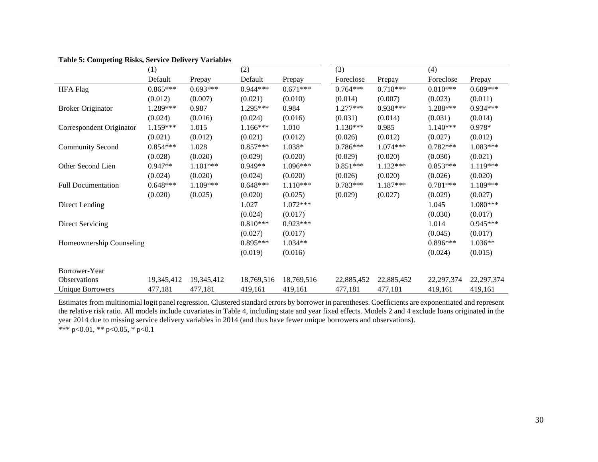|                           | (1)        |            | (2)        |            | (3)        |            | (4)          |              |
|---------------------------|------------|------------|------------|------------|------------|------------|--------------|--------------|
|                           | Default    | Prepay     | Default    | Prepay     | Foreclose  | Prepay     | Foreclose    | Prepay       |
| <b>HFA Flag</b>           | $0.865***$ | $0.693***$ | $0.944***$ | $0.671***$ | $0.764***$ | $0.718***$ | $0.810***$   | $0.689***$   |
|                           | (0.012)    | (0.007)    | (0.021)    | (0.010)    | (0.014)    | (0.007)    | (0.023)      | (0.011)      |
| <b>Broker Originator</b>  | 1.289***   | 0.987      | $1.295***$ | 0.984      | $1.277***$ | $0.938***$ | 1.288***     | $0.934***$   |
|                           | (0.024)    | (0.016)    | (0.024)    | (0.016)    | (0.031)    | (0.014)    | (0.031)      | (0.014)      |
| Correspondent Originator  | $1.159***$ | 1.015      | $1.166***$ | 1.010      | $1.130***$ | 0.985      | $1.140***$   | 0.978*       |
|                           | (0.021)    | (0.012)    | (0.021)    | (0.012)    | (0.026)    | (0.012)    | (0.027)      | (0.012)      |
| <b>Community Second</b>   | $0.854***$ | 1.028      | $0.857***$ | 1.038*     | $0.786***$ | $1.074***$ | $0.782***$   | $1.083***$   |
|                           | (0.028)    | (0.020)    | (0.029)    | (0.020)    | (0.029)    | (0.020)    | (0.030)      | (0.021)      |
| Other Second Lien         | 0.947**    | $1.101***$ | 0.949**    | 1.096***   | $0.851***$ | $1.122***$ | $0.853***$   | 1.119***     |
|                           | (0.024)    | (0.020)    | (0.024)    | (0.020)    | (0.026)    | (0.020)    | (0.026)      | (0.020)      |
| <b>Full Documentation</b> | $0.648***$ | 1.109***   | $0.648***$ | $1.110***$ | $0.783***$ | $1.187***$ | $0.781***$   | 1.189***     |
|                           | (0.020)    | (0.025)    | (0.020)    | (0.025)    | (0.029)    | (0.027)    | (0.029)      | (0.027)      |
| Direct Lending            |            |            | 1.027      | $1.072***$ |            |            | 1.045        | $1.080***$   |
|                           |            |            | (0.024)    | (0.017)    |            |            | (0.030)      | (0.017)      |
| Direct Servicing          |            |            | $0.810***$ | $0.923***$ |            |            | 1.014        | $0.945***$   |
|                           |            |            | (0.027)    | (0.017)    |            |            | (0.045)      | (0.017)      |
| Homeownership Counseling  |            |            | $0.895***$ | $1.034**$  |            |            | $0.896***$   | 1.036**      |
|                           |            |            | (0.019)    | (0.016)    |            |            | (0.024)      | (0.015)      |
|                           |            |            |            |            |            |            |              |              |
| Borrower-Year             |            |            |            |            |            |            |              |              |
| Observations              | 19,345,412 | 19,345,412 | 18,769,516 | 18,769,516 | 22,885,452 | 22,885,452 | 22, 297, 374 | 22, 297, 374 |
| <b>Unique Borrowers</b>   | 477,181    | 477,181    | 419,161    | 419,161    | 477,181    | 477,181    | 419,161      | 419,161      |

### **Table 5: Competing Risks, Service Delivery Variables**

Estimates from multinomial logit panel regression. Clustered standard errors by borrower in parentheses. Coefficients are exponentiated and represent the relative risk ratio. All models include covariates in Table 4, including state and year fixed effects. Models 2 and 4 exclude loans originated in the year 2014 due to missing service delivery variables in 2014 (and thus have fewer unique borrowers and observations).

\*\*\* p<0.01, \*\* p<0.05, \* p<0.1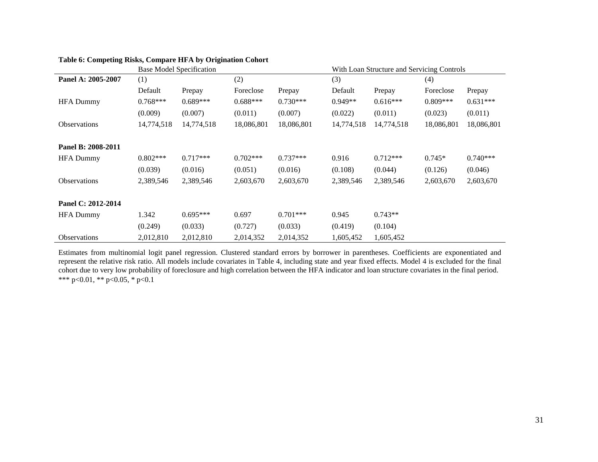|                     |            | <b>Base Model Specification</b> |            |            | With Loan Structure and Servicing Controls |            |            |            |  |
|---------------------|------------|---------------------------------|------------|------------|--------------------------------------------|------------|------------|------------|--|
| Panel A: 2005-2007  | (1)        |                                 | (2)        |            | (3)                                        |            | (4)        |            |  |
|                     | Default    | Prepay                          | Foreclose  | Prepay     | Default                                    | Prepay     | Foreclose  | Prepay     |  |
| <b>HFA Dummy</b>    | $0.768***$ | $0.689***$                      | $0.688***$ | $0.730***$ | $0.949**$                                  | $0.616***$ | $0.809***$ | $0.631***$ |  |
|                     | (0.009)    | (0.007)                         | (0.011)    | (0.007)    | (0.022)                                    | (0.011)    | (0.023)    | (0.011)    |  |
| <b>Observations</b> | 14,774,518 | 14,774,518                      | 18,086,801 | 18,086,801 | 14,774,518                                 | 14,774,518 | 18,086,801 | 18,086,801 |  |
| Panel B: 2008-2011  |            |                                 |            |            |                                            |            |            |            |  |
| <b>HFA Dummy</b>    | $0.802***$ | $0.717***$                      | $0.702***$ | $0.737***$ | 0.916                                      | $0.712***$ | $0.745*$   | $0.740***$ |  |
|                     | (0.039)    | (0.016)                         | (0.051)    | (0.016)    | (0.108)                                    | (0.044)    | (0.126)    | (0.046)    |  |
| <b>Observations</b> | 2,389,546  | 2,389,546                       | 2,603,670  | 2,603,670  | 2,389,546                                  | 2,389,546  | 2,603,670  | 2,603,670  |  |
| Panel C: 2012-2014  |            |                                 |            |            |                                            |            |            |            |  |
| <b>HFA Dummy</b>    | 1.342      | $0.695***$                      | 0.697      | $0.701***$ | 0.945                                      | $0.743**$  |            |            |  |
|                     | (0.249)    | (0.033)                         | (0.727)    | (0.033)    | (0.419)                                    | (0.104)    |            |            |  |
| <b>Observations</b> | 2,012,810  | 2,012,810                       | 2,014,352  | 2,014,352  | 1,605,452                                  | 1,605,452  |            |            |  |

# **Table 6: Competing Risks, Compare HFA by Origination Cohort**

Estimates from multinomial logit panel regression. Clustered standard errors by borrower in parentheses. Coefficients are exponentiated and represent the relative risk ratio. All models include covariates in Table 4, including state and year fixed effects. Model 4 is excluded for the final cohort due to very low probability of foreclosure and high correlation between the HFA indicator and loan structure covariates in the final period. \*\*\* p<0.01, \*\* p<0.05, \* p<0.1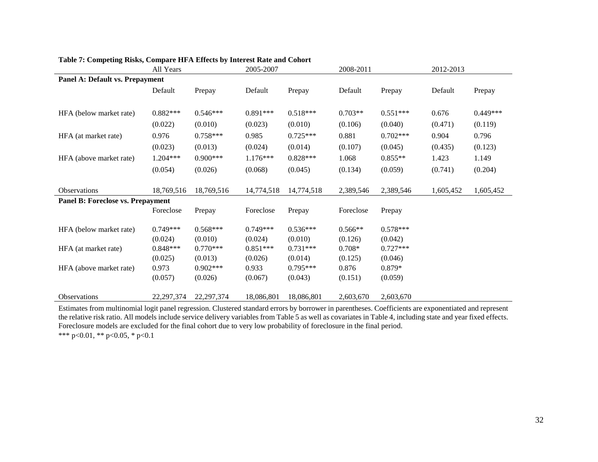|                                          | All Years    |              | 2005-2007  |            | 2008-2011 |            | 2012-2013 |            |
|------------------------------------------|--------------|--------------|------------|------------|-----------|------------|-----------|------------|
| <b>Panel A: Default vs. Prepayment</b>   |              |              |            |            |           |            |           |            |
|                                          | Default      | Prepay       | Default    | Prepay     | Default   | Prepay     | Default   | Prepay     |
|                                          |              |              |            |            |           |            |           |            |
| HFA (below market rate)                  | $0.882***$   | $0.546***$   | $0.891***$ | $0.518***$ | $0.703**$ | $0.551***$ | 0.676     | $0.449***$ |
|                                          | (0.022)      | (0.010)      | (0.023)    | (0.010)    | (0.106)   | (0.040)    | (0.471)   | (0.119)    |
| HFA (at market rate)                     | 0.976        | $0.758***$   | 0.985      | $0.725***$ | 0.881     | $0.702***$ | 0.904     | 0.796      |
|                                          | (0.023)      | (0.013)      | (0.024)    | (0.014)    | (0.107)   | (0.045)    | (0.435)   | (0.123)    |
| HFA (above market rate)                  | 1.204***     | $0.900***$   | $1.176***$ | $0.828***$ | 1.068     | $0.855**$  | 1.423     | 1.149      |
|                                          | (0.054)      | (0.026)      | (0.068)    | (0.045)    | (0.134)   | (0.059)    | (0.741)   | (0.204)    |
|                                          |              |              |            |            |           |            |           |            |
| <b>Observations</b>                      | 18,769,516   | 18,769,516   | 14,774,518 | 14,774,518 | 2,389,546 | 2,389,546  | 1,605,452 | 1,605,452  |
| <b>Panel B: Foreclose vs. Prepayment</b> |              |              |            |            |           |            |           |            |
|                                          | Foreclose    | Prepay       | Foreclose  | Prepay     | Foreclose | Prepay     |           |            |
| HFA (below market rate)                  | $0.749***$   | $0.568***$   | $0.749***$ | $0.536***$ | $0.566**$ | $0.578***$ |           |            |
|                                          | (0.024)      | (0.010)      | (0.024)    | (0.010)    | (0.126)   | (0.042)    |           |            |
| HFA (at market rate)                     | $0.848***$   | $0.770***$   | $0.851***$ | $0.731***$ | $0.708*$  | $0.727***$ |           |            |
|                                          | (0.025)      | (0.013)      | (0.026)    | (0.014)    | (0.125)   | (0.046)    |           |            |
| HFA (above market rate)                  | 0.973        | $0.902***$   | 0.933      | $0.795***$ | 0.876     | $0.879*$   |           |            |
|                                          | (0.057)      | (0.026)      | (0.067)    | (0.043)    | (0.151)   | (0.059)    |           |            |
| Observations                             | 22, 297, 374 | 22, 297, 374 | 18,086,801 | 18,086,801 | 2,603,670 | 2,603,670  |           |            |

## **Table 7: Competing Risks, Compare HFA Effects by Interest Rate and Cohort**

Estimates from multinomial logit panel regression. Clustered standard errors by borrower in parentheses. Coefficients are exponentiated and represent the relative risk ratio. All models include service delivery variables from Table 5 as well as covariates in Table 4, including state and year fixed effects. Foreclosure models are excluded for the final cohort due to very low probability of foreclosure in the final period.

\*\*\* p<0.01, \*\* p<0.05, \* p<0.1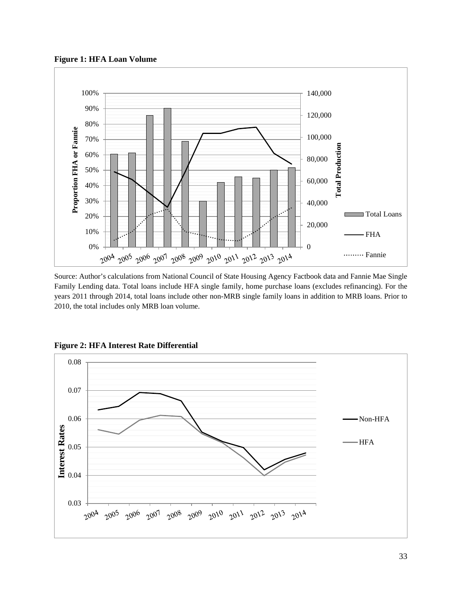**Figure 1: HFA Loan Volume**



Source: Author's calculations from National Council of State Housing Agency Factbook data and Fannie Mae Single Family Lending data. Total loans include HFA single family, home purchase loans (excludes refinancing). For the years 2011 through 2014, total loans include other non-MRB single family loans in addition to MRB loans. Prior to 2010, the total includes only MRB loan volume.



**Figure 2: HFA Interest Rate Differential**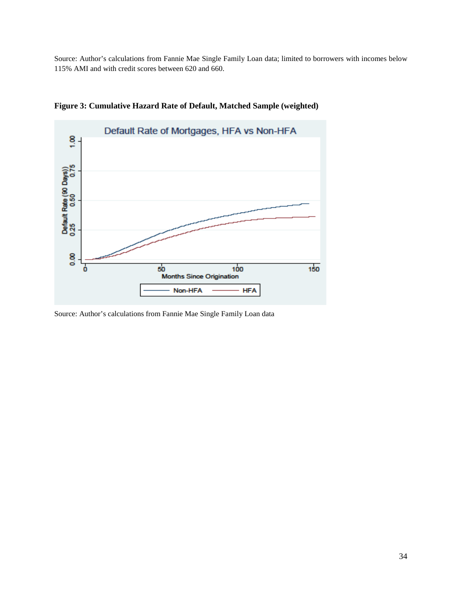Source: Author's calculations from Fannie Mae Single Family Loan data; limited to borrowers with incomes below 115% AMI and with credit scores between 620 and 660.



**Figure 3: Cumulative Hazard Rate of Default, Matched Sample (weighted)**

Source: Author's calculations from Fannie Mae Single Family Loan data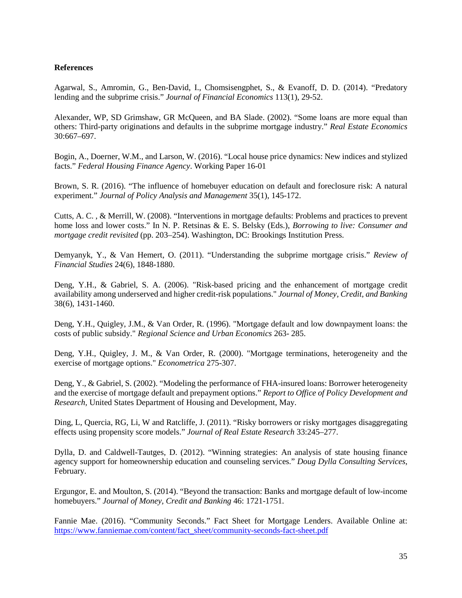## **References**

Agarwal, S., Amromin, G., Ben-David, I., Chomsisengphet, S., & Evanoff, D. D. (2014). "Predatory lending and the subprime crisis." *Journal of Financial Economics* 113(1), 29-52.

Alexander, WP, SD Grimshaw, GR McQueen, and BA Slade. (2002). "Some loans are more equal than others: Third-party originations and defaults in the subprime mortgage industry." *Real Estate Economics* 30:667–697.

Bogin, A., Doerner, W.M., and Larson, W. (2016). "Local house price dynamics: New indices and stylized facts." *Federal Housing Finance Agency*. Working Paper 16-01

Brown, S. R. (2016). "The influence of homebuyer education on default and foreclosure risk: A natural experiment." *Journal of Policy Analysis and Management* 35(1), 145-172.

Cutts, A. C. , & Merrill, W. (2008). "Interventions in mortgage defaults: Problems and practices to prevent home loss and lower costs." In N. P. Retsinas & E. S. Belsky (Eds.), *Borrowing to live: Consumer and mortgage credit revisited* (pp. 203–254). Washington, DC: Brookings Institution Press.

Demyanyk, Y., & Van Hemert, O. (2011). "Understanding the subprime mortgage crisis." *Review of Financial Studies* 24(6), 1848-1880.

Deng, Y.H., & Gabriel, S. A. (2006). "Risk-based pricing and the enhancement of mortgage credit availability among underserved and higher credit-risk populations." *Journal of Money, Credit, and Banking* 38(6), 1431-1460.

Deng, Y.H., Quigley, J.M., & Van Order, R. (1996). "Mortgage default and low downpayment loans: the costs of public subsidy." *Regional Science and Urban Economics* 263- 285.

Deng, Y.H., Quigley, J. M., & Van Order, R. (2000). "Mortgage terminations, heterogeneity and the exercise of mortgage options." *Econometrica* 275-307.

Deng, Y., & Gabriel, S. (2002). "Modeling the performance of FHA-insured loans: Borrower heterogeneity and the exercise of mortgage default and prepayment options." *Report to Office of Policy Development and Research,* United States Department of Housing and Development, May.

Ding, L, Quercia, RG, Li, W and Ratcliffe, J. (2011). "Risky borrowers or risky mortgages disaggregating effects using propensity score models." *Journal of Real Estate Research* 33:245–277.

Dylla, D. and Caldwell-Tautges, D. (2012). "Winning strategies: An analysis of state housing finance agency support for homeownership education and counseling services." *Doug Dylla Consulting Services*, February.

Ergungor, E. and Moulton, S. (2014). "Beyond the transaction: Banks and mortgage default of low-income homebuyers." *Journal of Money, Credit and Banking* 46: 1721-1751.

Fannie Mae. (2016). "Community Seconds." Fact Sheet for Mortgage Lenders. Available Online at: [https://www.fanniemae.com/content/fact\\_sheet/community-seconds-fact-sheet.pdf](https://www.fanniemae.com/content/fact_sheet/community-seconds-fact-sheet.pdf)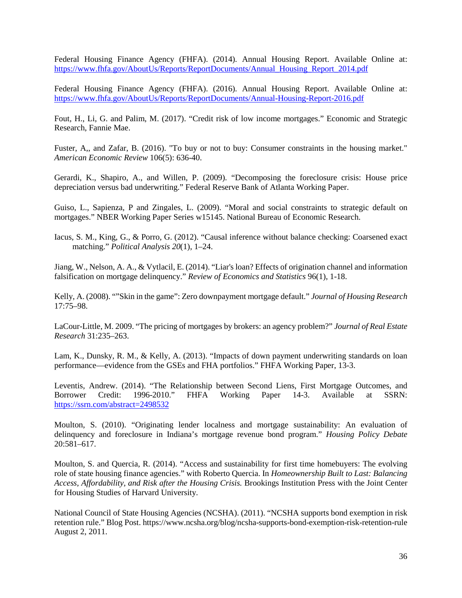Federal Housing Finance Agency (FHFA). (2014). Annual Housing Report. Available Online at: [https://www.fhfa.gov/AboutUs/Reports/ReportDocuments/Annual\\_Housing\\_Report\\_2014.pdf](https://www.fhfa.gov/AboutUs/Reports/ReportDocuments/Annual_Housing_Report_2014.pdf)

Federal Housing Finance Agency (FHFA). (2016). Annual Housing Report. Available Online at: <https://www.fhfa.gov/AboutUs/Reports/ReportDocuments/Annual-Housing-Report-2016.pdf>

Fout, H., Li, G. and Palim, M. (2017). "Credit risk of low income mortgages." Economic and Strategic Research, Fannie Mae.

Fuster, A,, and Zafar, B. (2016). "To buy or not to buy: Consumer constraints in the housing market." *American Economic Review* 106(5): 636-40.

Gerardi, K., Shapiro, A., and Willen, P. (2009). "Decomposing the foreclosure crisis: House price depreciation versus bad underwriting." Federal Reserve Bank of Atlanta Working Paper.

Guiso, L., Sapienza, P and Zingales, L. (2009). "Moral and social constraints to strategic default on mortgages." NBER Working Paper Series w15145. National Bureau of Economic Research.

Iacus, S. M., King, G., & Porro, G. (2012). "Causal inference without balance checking: Coarsened exact matching." *Political Analysis 20*(1), 1–24.

Jiang, W., Nelson, A. A., & Vytlacil, E. (2014). "Liar's loan? Effects of origination channel and information falsification on mortgage delinquency." *Review of Economics and Statistics* 96(1), 1-18.

Kelly, A. (2008). ""Skin in the game": Zero downpayment mortgage default." *Journal of Housing Research* 17:75–98.

LaCour-Little, M. 2009. "The pricing of mortgages by brokers: an agency problem?" *Journal of Real Estate Research* 31:235–263.

Lam, K., Dunsky, R. M., & Kelly, A. (2013). "Impacts of down payment underwriting standards on loan performance—evidence from the GSEs and FHA portfolios." FHFA Working Paper, 13-3.

Leventis, Andrew. (2014). "The Relationship between Second Liens, First Mortgage Outcomes, and Borrower Credit: 1996-2010." FHFA Working Paper 14-3. Available at SSRN: Borrower Credit: 1996-2010." FHFA Working Paper 14-3. Available at SSRN: <https://ssrn.com/abstract=2498532>

Moulton, S. (2010). "Originating lender localness and mortgage sustainability: An evaluation of delinquency and foreclosure in Indiana's mortgage revenue bond program." *Housing Policy Debate* 20:581–617.

Moulton, S. and Quercia, R. (2014). "Access and sustainability for first time homebuyers: The evolving role of state housing finance agencies." with Roberto Quercia. In *Homeownership Built to Last: Balancing Access, Affordability, and Risk after the Housing Crisis.* Brookings Institution Press with the Joint Center for Housing Studies of Harvard University.

National Council of State Housing Agencies (NCSHA). (2011). "NCSHA supports bond exemption in risk retention rule." Blog Post. https://www.ncsha.org/blog/ncsha-supports-bond-exemption-risk-retention-rule August 2, 2011.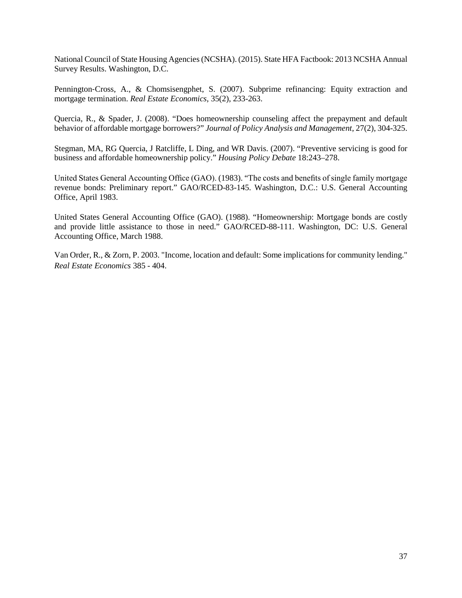National Council of State Housing Agencies (NCSHA). (2015). State HFA Factbook: 2013 NCSHA Annual Survey Results. Washington, D.C.

Pennington‐Cross, A., & Chomsisengphet, S. (2007). Subprime refinancing: Equity extraction and mortgage termination. *Real Estate Economics*, 35(2), 233-263.

Quercia, R., & Spader, J. (2008). "Does homeownership counseling affect the prepayment and default behavior of affordable mortgage borrowers?" *Journal of Policy Analysis and Management*, 27(2), 304-325.

Stegman, MA, RG Quercia, J Ratcliffe, L Ding, and WR Davis. (2007). "Preventive servicing is good for business and affordable homeownership policy." *Housing Policy Debate* 18:243–278.

United States General Accounting Office (GAO). (1983). "The costs and benefits of single family mortgage revenue bonds: Preliminary report." GAO/RCED-83-145. Washington, D.C.: U.S. General Accounting Office, April 1983.

United States General Accounting Office (GAO). (1988). "Homeownership: Mortgage bonds are costly and provide little assistance to those in need." GAO/RCED-88-111. Washington, DC: U.S. General Accounting Office, March 1988.

Van Order, R., & Zorn, P. 2003. "Income, location and default: Some implications for community lending." *Real Estate Economics* 385 - 404.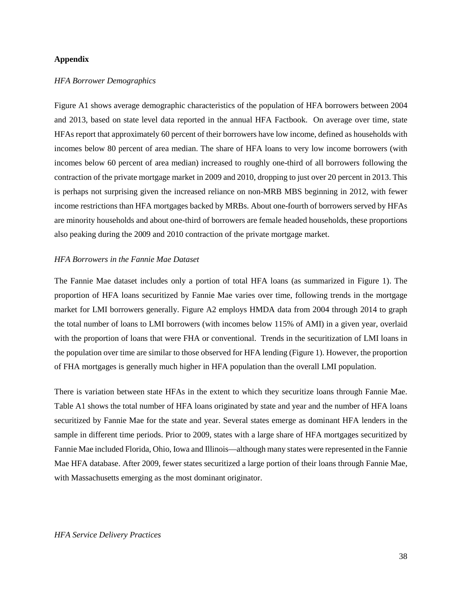### **Appendix**

### *HFA Borrower Demographics*

Figure A1 shows average demographic characteristics of the population of HFA borrowers between 2004 and 2013, based on state level data reported in the annual HFA Factbook. On average over time, state HFAs report that approximately 60 percent of their borrowers have low income, defined as households with incomes below 80 percent of area median. The share of HFA loans to very low income borrowers (with incomes below 60 percent of area median) increased to roughly one-third of all borrowers following the contraction of the private mortgage market in 2009 and 2010, dropping to just over 20 percent in 2013. This is perhaps not surprising given the increased reliance on non-MRB MBS beginning in 2012, with fewer income restrictions than HFA mortgages backed by MRBs. About one-fourth of borrowers served by HFAs are minority households and about one-third of borrowers are female headed households, these proportions also peaking during the 2009 and 2010 contraction of the private mortgage market.

### *HFA Borrowers in the Fannie Mae Dataset*

The Fannie Mae dataset includes only a portion of total HFA loans (as summarized in Figure 1). The proportion of HFA loans securitized by Fannie Mae varies over time, following trends in the mortgage market for LMI borrowers generally. Figure A2 employs HMDA data from 2004 through 2014 to graph the total number of loans to LMI borrowers (with incomes below 115% of AMI) in a given year, overlaid with the proportion of loans that were FHA or conventional. Trends in the securitization of LMI loans in the population over time are similar to those observed for HFA lending (Figure 1). However, the proportion of FHA mortgages is generally much higher in HFA population than the overall LMI population.

There is variation between state HFAs in the extent to which they securitize loans through Fannie Mae. Table A1 shows the total number of HFA loans originated by state and year and the number of HFA loans securitized by Fannie Mae for the state and year. Several states emerge as dominant HFA lenders in the sample in different time periods. Prior to 2009, states with a large share of HFA mortgages securitized by Fannie Mae included Florida, Ohio, Iowa and Illinois—although many states were represented in the Fannie Mae HFA database. After 2009, fewer states securitized a large portion of their loans through Fannie Mae, with Massachusetts emerging as the most dominant originator.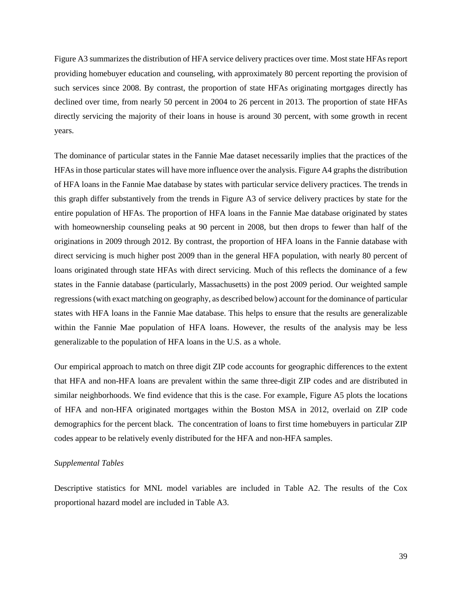Figure A3 summarizes the distribution of HFA service delivery practices over time. Most state HFAs report providing homebuyer education and counseling, with approximately 80 percent reporting the provision of such services since 2008. By contrast, the proportion of state HFAs originating mortgages directly has declined over time, from nearly 50 percent in 2004 to 26 percent in 2013. The proportion of state HFAs directly servicing the majority of their loans in house is around 30 percent, with some growth in recent years.

The dominance of particular states in the Fannie Mae dataset necessarily implies that the practices of the HFAs in those particular states will have more influence over the analysis. Figure A4 graphs the distribution of HFA loans in the Fannie Mae database by states with particular service delivery practices. The trends in this graph differ substantively from the trends in Figure A3 of service delivery practices by state for the entire population of HFAs. The proportion of HFA loans in the Fannie Mae database originated by states with homeownership counseling peaks at 90 percent in 2008, but then drops to fewer than half of the originations in 2009 through 2012. By contrast, the proportion of HFA loans in the Fannie database with direct servicing is much higher post 2009 than in the general HFA population, with nearly 80 percent of loans originated through state HFAs with direct servicing. Much of this reflects the dominance of a few states in the Fannie database (particularly, Massachusetts) in the post 2009 period. Our weighted sample regressions (with exact matching on geography, as described below) account for the dominance of particular states with HFA loans in the Fannie Mae database. This helps to ensure that the results are generalizable within the Fannie Mae population of HFA loans. However, the results of the analysis may be less generalizable to the population of HFA loans in the U.S. as a whole.

Our empirical approach to match on three digit ZIP code accounts for geographic differences to the extent that HFA and non-HFA loans are prevalent within the same three-digit ZIP codes and are distributed in similar neighborhoods. We find evidence that this is the case. For example, Figure A5 plots the locations of HFA and non-HFA originated mortgages within the Boston MSA in 2012, overlaid on ZIP code demographics for the percent black. The concentration of loans to first time homebuyers in particular ZIP codes appear to be relatively evenly distributed for the HFA and non-HFA samples.

### *Supplemental Tables*

Descriptive statistics for MNL model variables are included in Table A2. The results of the Cox proportional hazard model are included in Table A3.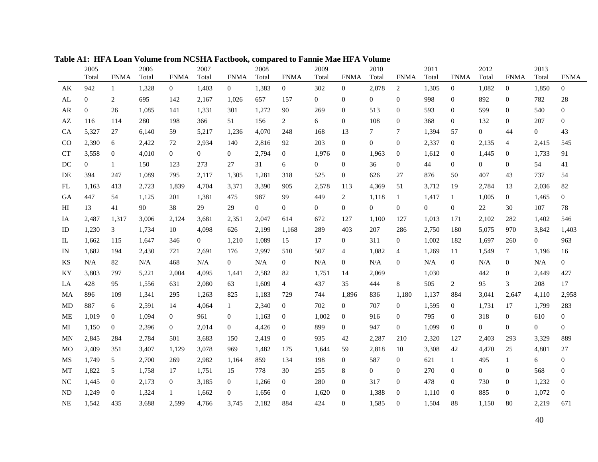|           | 2005           |                  | 2006  |                  | 2007           |                | 2008         |                  | 2009             |                  | 2010           |                  | 2011             |                  | 2012             |                  | 2013             |                  |
|-----------|----------------|------------------|-------|------------------|----------------|----------------|--------------|------------------|------------------|------------------|----------------|------------------|------------------|------------------|------------------|------------------|------------------|------------------|
|           | Total          | <b>FNMA</b>      | Total | <b>FNMA</b>      | Total          | <b>FNMA</b>    | Total        | <b>FNMA</b>      | Total            | <b>FNMA</b>      | Total          | <b>FNMA</b>      | Total            | <b>FNMA</b>      | Total            | <b>FNMA</b>      | Total            | <b>FNMA</b>      |
| AK        | 942            | $\mathbf{1}$     | 1,328 | $\overline{0}$   | 1,403          | $\overline{0}$ | 1,383        | $\overline{0}$   | 302              | $\overline{0}$   | 2,078          | 2                | 1,305            | $\mathbf{0}$     | 1,082            | $\mathbf{0}$     | 1,850            | $\overline{0}$   |
| AL        | $\overline{0}$ | 2                | 695   | 142              | 2,167          | 1,026          | 657          | 157              | $\overline{0}$   | $\boldsymbol{0}$ | $\overline{0}$ | $\overline{0}$   | 998              | $\overline{0}$   | 892              | $\mathbf{0}$     | 782              | 28               |
| AR        | $\overline{0}$ | 26               | 1,085 | 141              | 1,331          | 301            | 1,272        | 90               | 269              | $\boldsymbol{0}$ | 513            | 0                | 593              | $\boldsymbol{0}$ | 599              | $\mathbf{0}$     | 540              | $\overline{0}$   |
| AZ        | 116            | 114              | 280   | 198              | 366            | 51             | 156          | 2                | 6                | $\boldsymbol{0}$ | 108            | 0                | 368              | $\boldsymbol{0}$ | 132              | $\overline{0}$   | 207              | $\overline{0}$   |
| <b>CA</b> | 5,327          | 27               | 6,140 | 59               | 5,217          | 1,236          | 4,070        | 248              | 168              | 13               | 7              | 7                | 1,394            | 57               | $\overline{0}$   | 44               | $\overline{0}$   | 43               |
| CO        | 2,390          | 6                | 2,422 | 72               | 2,934          | 140            | 2,816        | 92               | 203              | $\boldsymbol{0}$ | $\mathbf{0}$   | 0                | 2,337            | $\overline{0}$   | 2,135            | 4                | 2,415            | 545              |
| CТ        | 3,558          | $\boldsymbol{0}$ | 4,010 | $\overline{0}$   | 0              | $\mathbf{0}$   | 2,794        | $\mathbf{0}$     | 1,976            | $\mathbf{0}$     | 1,963          | 0                | 1,612            | $\boldsymbol{0}$ | 1,445            | 0                | 1,733            | 91               |
| DC        | $\mathbf{0}$   | 1                | 150   | 123              | 273            | 27             | 31           | 6                | $\boldsymbol{0}$ | $\boldsymbol{0}$ | 36             | 0                | 44               | $\boldsymbol{0}$ | $\boldsymbol{0}$ | $\boldsymbol{0}$ | 54               | 41               |
| DE        | 394            | 247              | 1,089 | 795              | 2,117          | 1,305          | 1,281        | 318              | 525              | $\boldsymbol{0}$ | 626            | 27               | 876              | 50               | 407              | 43               | 737              | 54               |
| FL        | 1,163          | 413              | 2,723 | 1,839            | 4,704          | 3,371          | 3,390        | 905              | 2,578            | 113              | 4,369          | 51               | 3,712            | 19               | 2,784            | 13               | 2,036            | 82               |
| GА        | 447            | 54               | 1,125 | 201              | 1,381          | 475            | 987          | 99               | 449              | 2                | 1,118          | $\mathbf{1}$     | 1,417            | -1               | 1,005            | $\overline{0}$   | 1,465            | $\mathbf{0}$     |
| ΗΙ        | 13             | 41               | 90    | 38               | 29             | 29             | $\mathbf{0}$ | $\boldsymbol{0}$ | 0                | $\boldsymbol{0}$ | $\mathbf{0}$   | $\overline{0}$   | $\boldsymbol{0}$ | $\mathbf{0}$     | $22\,$           | 30               | 107              | 78               |
| IA        | 2,487          | 1,317            | 3,006 | 2,124            | 3,681          | 2,351          | 2,047        | 614              | 672              | 127              | 1,100          | 127              | 1,013            | 171              | 2,102            | 282              | 1,402            | 546              |
| ID        | 1,230          | 3                | 1,734 | 10               | 4,098          | 626            | 2,199        | 1,168            | 289              | 403              | 207            | 286              | 2,750            | 180              | 5,075            | 970              | 3,842            | 1,403            |
| IL        | 1,662          | 115              | 1,647 | 346              | $\overline{0}$ | 1,210          | 1,089        | 15               | 17               | $\overline{0}$   | 311            | 0                | 1,002            | 182              | 1,697            | 260              | $\mathbf{0}$     | 963              |
| IN        | 1,682          | 194              | 2,430 | 721              | 2,691          | 176            | 2,997        | 510              | 507              | 4                | 1,082          | $\overline{4}$   | 1,269            | 11               | 1,549            | 7                | 1,196            | 16               |
| KS        | N/A            | 82               | N/A   | 468              | N/A            | $\overline{0}$ | N/A          | $\mathbf{0}$     | N/A              | $\boldsymbol{0}$ | N/A            | 0                | N/A              | $\boldsymbol{0}$ | N/A              | $\boldsymbol{0}$ | N/A              | $\mathbf{0}$     |
| KY        | 3,803          | 797              | 5,221 | 2,004            | 4,095          | 1,441          | 2,582        | 82               | 1,751            | 14               | 2,069          |                  | 1,030            |                  | 442              | $\boldsymbol{0}$ | 2,449            | 427              |
| LA        | 428            | 95               | 1,556 | 631              | 2,080          | 63             | 1,609        | 4                | 437              | 35               | 444            | 8                | 505              | 2                | 95               | 3                | 208              | 17               |
| MA        | 896            | 109              | 1,341 | 295              | 1,263          | 825            | 1,183        | 729              | 744              | 1,896            | 836            | 1,180            | 1,137            | 884              | 3,041            | 2,647            | 4,110            | 2,958            |
| MD        | 887            | 6                | 2,591 | 14               | 4,064          | $\mathbf{1}$   | 2,340        | $\mathbf{0}$     | 702              | $\overline{0}$   | 707            | 0                | 1,595            | $\boldsymbol{0}$ | 1,731            | 17               | 1,799            | 283              |
| МE        | 1,019          | $\boldsymbol{0}$ | 1,094 | $\overline{0}$   | 961            | $\overline{0}$ | 1,163        | $\overline{0}$   | 1,002            | $\boldsymbol{0}$ | 916            | 0                | 795              | $\overline{0}$   | 318              | $\boldsymbol{0}$ | 610              | $\overline{0}$   |
| МI        | 1,150          | $\overline{0}$   | 2,396 | $\overline{0}$   | 2,014          | $\overline{0}$ | 4,426        | $\boldsymbol{0}$ | 899              | $\boldsymbol{0}$ | 947            | $\overline{0}$   | 1,099            | $\overline{0}$   | $\boldsymbol{0}$ | $\mathbf{0}$     | $\boldsymbol{0}$ | $\overline{0}$   |
| MN        | 2,845          | 284              | 2,784 | 501              | 3,683          | 150            | 2,419        | $\mathbf{0}$     | 935              | 42               | 2,287          | 210              | 2,320            | 127              | 2,403            | 293              | 3,329            | 889              |
| <b>MO</b> | 2,409          | 351              | 3,407 | 1,129            | 3,078          | 969            | 1,482        | 175              | 1,644            | 59               | 2,818          | 10               | 3,308            | 42               | 4,470            | 25               | 4,801            | $27\,$           |
| MS        | 1,749          | 5                | 2,700 | 269              | 2,982          | 1,164          | 859          | 134              | 198              | $\boldsymbol{0}$ | 587            | $\overline{0}$   | 621              | $\mathbf{1}$     | 495              | $\mathbf{1}$     | 6                | $\overline{0}$   |
| MT        | 1,822          | 5                | 1,758 | 17               | 1,751          | 15             | 778          | 30               | 255              | 8                | $\mathbf{0}$   | 0                | 270              | $\boldsymbol{0}$ | 0                | $\boldsymbol{0}$ | 568              | $\boldsymbol{0}$ |
| NC        | 1,445          | $\boldsymbol{0}$ | 2,173 | $\boldsymbol{0}$ | 3,185          | $\overline{0}$ | 1,266        | $\mathbf{0}$     | 280              | $\boldsymbol{0}$ | 317            | 0                | 478              | $\mathbf{0}$     | 730              | $\boldsymbol{0}$ | 1,232            | $\boldsymbol{0}$ |
| ND        | 1,249          | $\mathbf{0}$     | 1,324 | $\mathbf{1}$     | 1,662          | $\overline{0}$ | 1,656        | $\boldsymbol{0}$ | 1,620            | $\boldsymbol{0}$ | 1,388          | $\boldsymbol{0}$ | 1,110            | $\overline{0}$   | 885              | 0                | 1,072            | $\boldsymbol{0}$ |
| <b>NE</b> | 1,542          | 435              | 3,688 | 2,599            | 4,766          | 3,745          | 2,182        | 884              | 424              | $\mathbf{0}$     | 1,585          | $\mathbf{0}$     | 1,504            | 88               | 1,150            | 80               | 2,219            | 671              |

**Table A1: HFA Loan Volume from NCSHA Factbook, compared to Fannie Mae HFA Volume**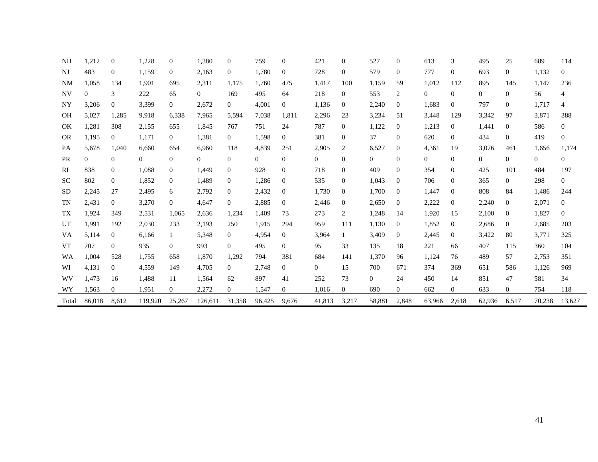| NH        | 1,212    | $\mathbf{0}$   | 1,228          | $\theta$       | 1,380          | 0              | 759            | $\theta$       | 421            | $\mathbf{0}$   | 527            | $\theta$       | 613            | 3              | 495            | 25             | 689    | 114            |
|-----------|----------|----------------|----------------|----------------|----------------|----------------|----------------|----------------|----------------|----------------|----------------|----------------|----------------|----------------|----------------|----------------|--------|----------------|
| NJ        | 483      | $\overline{0}$ | 1,159          | $\overline{0}$ | 2,163          | $\overline{0}$ | 1,780          | $\theta$       | 728            | 0              | 579            | $\theta$       | 777            | $\Omega$       | 693            | $\overline{0}$ | 1,132  | $\overline{0}$ |
| <b>NM</b> | 1,058    | 134            | 1,901          | 695            | 2,311          | 1,175          | 1,760          | 475            | 1,417          | 100            | 1,159          | 59             | 1,012          | 112            | 895            | 145            | 1,147  | 236            |
| <b>NV</b> | 0        | 3              | 222            | 65             | $\overline{0}$ | 169            | 495            | 64             | 218            | $\overline{0}$ | 553            | $\overline{2}$ | $\overline{0}$ | $\overline{0}$ | $\mathbf{0}$   | $\overline{0}$ | 56     | 4              |
| NY        | 3,206    | $\theta$       | 3,399          | $\overline{0}$ | 2,672          | $\overline{0}$ | 4,001          | $\overline{0}$ | 1,136          | $\overline{0}$ | 2,240          | $\theta$       | 1,683          | $\overline{0}$ | 797            | 0              | 1,717  | 4              |
| <b>OH</b> | 5,027    | 1,285          | 9,918          | 6,338          | 7,965          | 5,594          | 7,038          | 1,811          | 2,296          | 23             | 3,234          | 51             | 3,448          | 129            | 3,342          | 97             | 3,871  | 388            |
| OK        | 1,281    | 308            | 2,155          | 655            | 1,845          | 767            | 751            | 24             | 787            | $\overline{0}$ | 1,122          | $\theta$       | 1,213          | $\overline{0}$ | 1,441          | $\overline{0}$ | 586    | $\overline{0}$ |
| <b>OR</b> | 1,195    | $\overline{0}$ | 1,171          | $\overline{0}$ | 1,381          | $\overline{0}$ | 1,598          | $\overline{0}$ | 381            | $\overline{0}$ | 37             | $\Omega$       | 620            | $\overline{0}$ | 434            | $\overline{0}$ | 419    | $\overline{0}$ |
| PA        | 5,678    | 1,040          | 6,660          | 654            | 6,960          | 118            | 4,839          | 251            | 2,905          | 2              | 6,527          | $\theta$       | 4,361          | 19             | 3,076          | 461            | 1,656  | 1,174          |
| <b>PR</b> | $\Omega$ | $\overline{0}$ | $\overline{0}$ | $\overline{0}$ | $\overline{0}$ | $\overline{0}$ | $\overline{0}$ | $\overline{0}$ | $\overline{0}$ | $\overline{0}$ | $\Omega$       | $\theta$       | 0              | $\overline{0}$ | $\overline{0}$ | $\overline{0}$ | 0      | $\overline{0}$ |
| RI        | 838      | $\Omega$       | 1,088          | $\Omega$       | 1,449          | $\Omega$       | 928            | $\Omega$       | 718            | $\Omega$       | 409            | $\Omega$       | 354            | $\theta$       | 425            | 101            | 484    | 197            |
| <b>SC</b> | 802      | $\overline{0}$ | 1,852          | $\Omega$       | 1,489          | 0              | 1,286          | $\theta$       | 535            | $\overline{0}$ | 1,043          | $\Omega$       | 706            | $\Omega$       | 365            | $\overline{0}$ | 298    | $\Omega$       |
| <b>SD</b> | 2,245    | 27             | 2,495          | 6              | 2,792          | 0              | 2,432          | $\theta$       | 1,730          | $\Omega$       | 1,700          | $\theta$       | 1,447          | $\overline{0}$ | 808            | 84             | 1,486  | 244            |
| TN        | 2,431    | $\overline{0}$ | 3,270          | $\overline{0}$ | 4,647          | $\Omega$       | 2,885          | $\theta$       | 2,446          | $\theta$       | 2,650          | $\theta$       | 2,222          | $\overline{0}$ | 2,240          | $\overline{0}$ | 2,071  | $\Omega$       |
| <b>TX</b> | 1,924    | 349            | 2,531          | 1,065          | 2,636          | 1,234          | 1,409          | 73             | 273            | 2              | 1,248          | 14             | 1,920          | 15             | 2,100          | $\bf{0}$       | 1,827  | $\Omega$       |
| UT        | 1,991    | 192            | 2,030          | 233            | 2,193          | 250            | 1,915          | 294            | 959            | 111            | 1,130          | $\overline{0}$ | 1,852          | $\overline{0}$ | 2,686          | $\theta$       | 2,685  | 203            |
| VA        | 5,114    | $\overline{0}$ | 6,166          | $\mathbf{1}$   | 5,348          | $\overline{0}$ | 4,954          | $\theta$       | 3,964          |                | 3,409          | $\Omega$       | 2,445          | $\overline{0}$ | 3,422          | 80             | 3,771  | 325            |
| <b>VT</b> | 707      | $\Omega$       | 935            | $\theta$       | 993            | $\Omega$       | 495            | $\Omega$       | 95             | 33             | 135            | 18             | 221            | 66             | 407            | 115            | 360    | 104            |
| WA        | 1,004    | 528            | 1,755          | 658            | 1,870          | 1,292          | 794            | 381            | 684            | 141            | 1,370          | 96             | 1,124          | 76             | 489            | 57             | 2,753  | 351            |
| WI        | 4,131    | $\overline{0}$ | 4,559          | 149            | 4,705          | $\overline{0}$ | 2,748          | $\overline{0}$ | $\overline{0}$ | 15             | 700            | 671            | 374            | 369            | 651            | 586            | 1,126  | 969            |
| WV        | 1,473    | 16             | 1,488          | 11             | 1,564          | 62             | 897            | 41             | 252            | 73             | $\overline{0}$ | 24             | 450            | 14             | 851            | 47             | 581    | 34             |
| WY        | 1,563    | $\theta$       | 1,951          | $\overline{0}$ | 2,272          | $\Omega$       | 1,547          | $\Omega$       | 1,016          | $\Omega$       | 690            | $\Omega$       | 662            | $\overline{0}$ | 633            | $\overline{0}$ | 754    | 118            |
| Total     | 86,018   | 8,612          | 119,920        | 25,267         | 126.611        | 31,358         | 96,425         | 9.676          | 41,813         | 3,217          | 58,881         | 2,848          | 63,966         | 2,618          | 62,936         | 6,517          | 70,238 | 13,627         |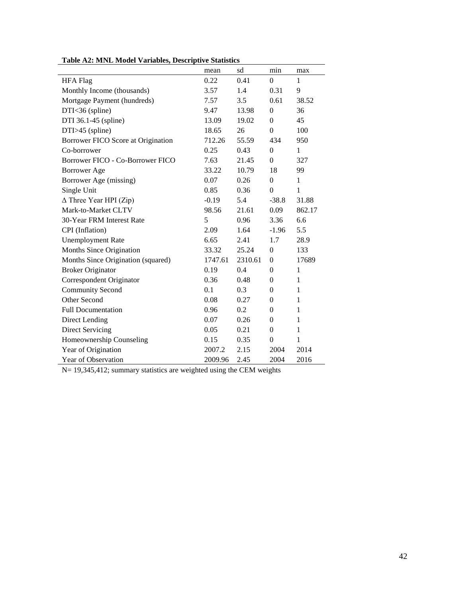|                                    | mean    | sd      | min              | max          |
|------------------------------------|---------|---------|------------------|--------------|
| <b>HFA</b> Flag                    | 0.22    | 0.41    | $\Omega$         | $\mathbf{1}$ |
| Monthly Income (thousands)         | 3.57    | 1.4     | 0.31             | 9            |
| Mortgage Payment (hundreds)        | 7.57    | 3.5     | 0.61             | 38.52        |
| $DTI < 36$ (spline)                | 9.47    | 13.98   | $\boldsymbol{0}$ | 36           |
| DTI 36.1-45 (spline)               | 13.09   | 19.02   | $\Omega$         | 45           |
| $DTI > 45$ (spline)                | 18.65   | 26      | $\Omega$         | 100          |
| Borrower FICO Score at Origination | 712.26  | 55.59   | 434              | 950          |
| Co-borrower                        | 0.25    | 0.43    | $\Omega$         | $\mathbf{1}$ |
| Borrower FICO - Co-Borrower FICO   | 7.63    | 21.45   | $\boldsymbol{0}$ | 327          |
| <b>Borrower Age</b>                | 33.22   | 10.79   | 18               | 99           |
| Borrower Age (missing)             | 0.07    | 0.26    | $\Omega$         | $\mathbf{1}$ |
| Single Unit                        | 0.85    | 0.36    | $\overline{0}$   | 1            |
| $\Delta$ Three Year HPI (Zip)      | $-0.19$ | 5.4     | $-38.8$          | 31.88        |
| Mark-to-Market CLTV                | 98.56   | 21.61   | 0.09             | 862.17       |
| 30-Year FRM Interest Rate          | 5       | 0.96    | 3.36             | 6.6          |
| CPI (Inflation)                    | 2.09    | 1.64    | $-1.96$          | 5.5          |
| <b>Unemployment Rate</b>           | 6.65    | 2.41    | 1.7              | 28.9         |
| Months Since Origination           | 33.32   | 25.24   | $\overline{0}$   | 133          |
| Months Since Origination (squared) | 1747.61 | 2310.61 | $\overline{0}$   | 17689        |
| <b>Broker Originator</b>           | 0.19    | 0.4     | $\theta$         | $\mathbf{1}$ |
| Correspondent Originator           | 0.36    | 0.48    | $\overline{0}$   | $\mathbf{1}$ |
| <b>Community Second</b>            | 0.1     | 0.3     | $\overline{0}$   | $\mathbf{1}$ |
| Other Second                       | 0.08    | 0.27    | $\theta$         | 1            |
| <b>Full Documentation</b>          | 0.96    | 0.2     | $\overline{0}$   | $\mathbf{1}$ |
| <b>Direct Lending</b>              | 0.07    | 0.26    | $\overline{0}$   | $\,1$        |
| <b>Direct Servicing</b>            | 0.05    | 0.21    | $\overline{0}$   | $\mathbf{1}$ |
| Homeownership Counseling           | 0.15    | 0.35    | $\boldsymbol{0}$ | $\mathbf{1}$ |
| Year of Origination                | 2007.2  | 2.15    | 2004             | 2014         |
| Year of Observation                | 2009.96 | 2.45    | 2004             | 2016         |

**Table A2: MNL Model Variables, Descriptive Statistics**

N= 19,345,412; summary statistics are weighted using the CEM weights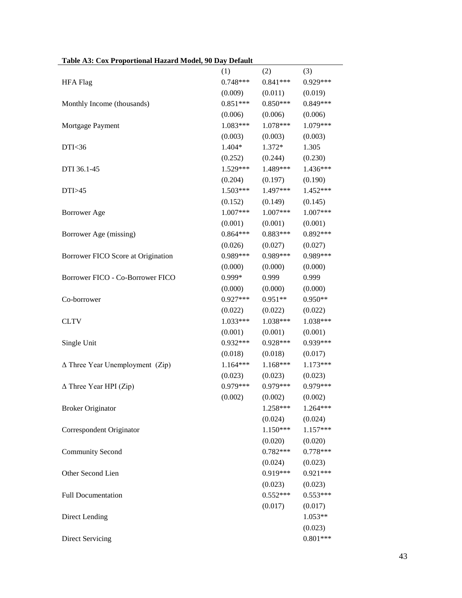|                                        | (1)        | (2)        | (3)        |
|----------------------------------------|------------|------------|------------|
| <b>HFA Flag</b>                        | $0.748***$ | $0.841***$ | $0.929***$ |
|                                        | (0.009)    | (0.011)    | (0.019)    |
| Monthly Income (thousands)             | $0.851***$ | $0.850***$ | $0.849***$ |
|                                        | (0.006)    | (0.006)    | (0.006)    |
| Mortgage Payment                       | $1.083***$ | $1.078***$ | 1.079***   |
|                                        | (0.003)    | (0.003)    | (0.003)    |
| DTI<36                                 | $1.404*$   | $1.372*$   | 1.305      |
|                                        | (0.252)    | (0.244)    | (0.230)    |
| DTI 36.1-45                            | $1.529***$ | 1.489***   | 1.436***   |
|                                        | (0.204)    | (0.197)    | (0.190)    |
| DTI>45                                 | $1.503***$ | 1.497***   | 1.452***   |
|                                        | (0.152)    | (0.149)    | (0.145)    |
| <b>Borrower</b> Age                    | $1.007***$ | $1.007***$ | $1.007***$ |
|                                        | (0.001)    | (0.001)    | (0.001)    |
| Borrower Age (missing)                 | $0.864***$ | $0.883***$ | $0.892***$ |
|                                        | (0.026)    | (0.027)    | (0.027)    |
| Borrower FICO Score at Origination     | $0.989***$ | 0.989***   | 0.989***   |
|                                        | (0.000)    | (0.000)    | (0.000)    |
| Borrower FICO - Co-Borrower FICO       | $0.999*$   | 0.999      | 0.999      |
|                                        | (0.000)    | (0.000)    | (0.000)    |
| Co-borrower                            | $0.927***$ | $0.951**$  | $0.950**$  |
|                                        | (0.022)    | (0.022)    | (0.022)    |
| <b>CLTV</b>                            | $1.033***$ | $1.038***$ | 1.038***   |
|                                        | (0.001)    | (0.001)    | (0.001)    |
| Single Unit                            | $0.932***$ | $0.928***$ | 0.939***   |
|                                        | (0.018)    | (0.018)    | (0.017)    |
| $\Delta$ Three Year Unemployment (Zip) | $1.164***$ | $1.168***$ | $1.173***$ |
|                                        | (0.023)    | (0.023)    | (0.023)    |
| $\Delta$ Three Year HPI (Zip)          | $0.979***$ | $0.979***$ | 0.979***   |
|                                        | (0.002)    | (0.002)    | (0.002)    |
| <b>Broker Originator</b>               |            | 1.258***   | 1.264***   |
|                                        |            | (0.024)    | (0.024)    |
| Correspondent Originator               |            | $1.150***$ | 1.157***   |
|                                        |            | (0.020)    | (0.020)    |
| <b>Community Second</b>                |            | $0.782***$ | $0.778***$ |
|                                        |            | (0.024)    | (0.023)    |
| Other Second Lien                      |            | 0.919***   | $0.921***$ |
|                                        |            | (0.023)    | (0.023)    |
| <b>Full Documentation</b>              |            | $0.552***$ | $0.553***$ |
|                                        |            | (0.017)    | (0.017)    |
| <b>Direct Lending</b>                  |            |            | $1.053**$  |
|                                        |            |            | (0.023)    |
| <b>Direct Servicing</b>                |            |            | $0.801***$ |

#### **Table A3: Cox Proportional Hazard Model, 90 Day Default**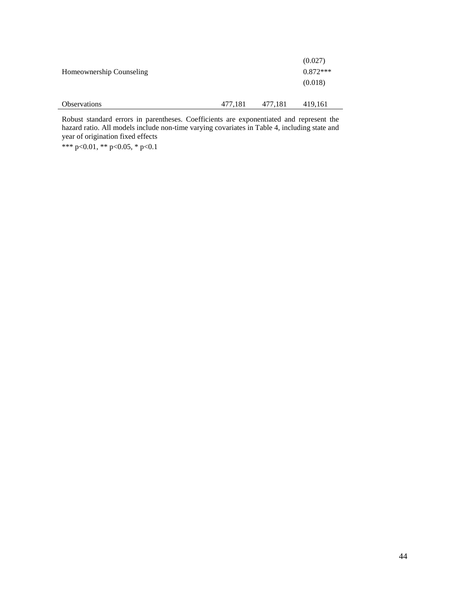|                          |         |         | (0.027)    |
|--------------------------|---------|---------|------------|
| Homeownership Counseling |         |         | $0.872***$ |
|                          |         |         | (0.018)    |
|                          |         |         |            |
| <b>Observations</b>      | 477,181 | 477,181 | 419,161    |

Robust standard errors in parentheses. Coefficients are exponentiated and represent the hazard ratio. All models include non-time varying covariates in Table 4, including state and year of origination fixed effects

\*\*\* p<0.01, \*\* p<0.05, \* p<0.1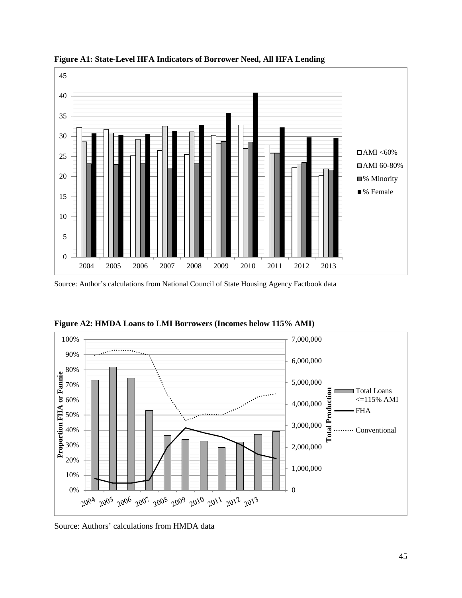

**Figure A1: State-Level HFA Indicators of Borrower Need, All HFA Lending**

Source: Author's calculations from National Council of State Housing Agency Factbook data



**Figure A2: HMDA Loans to LMI Borrowers (Incomes below 115% AMI)**

Source: Authors' calculations from HMDA data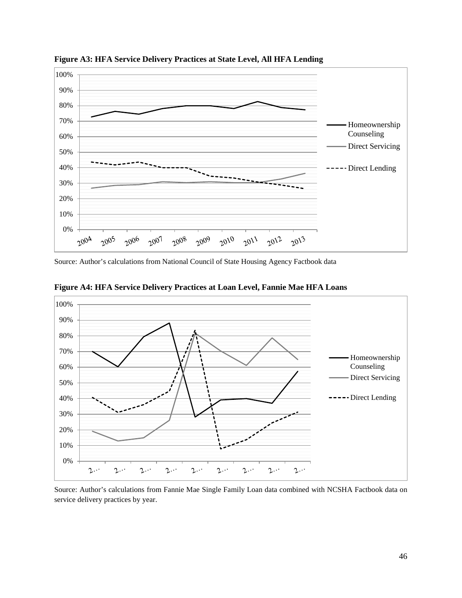

**Figure A3: HFA Service Delivery Practices at State Level, All HFA Lending**

Source: Author's calculations from National Council of State Housing Agency Factbook data



**Figure A4: HFA Service Delivery Practices at Loan Level, Fannie Mae HFA Loans**

Source: Author's calculations from Fannie Mae Single Family Loan data combined with NCSHA Factbook data on service delivery practices by year.